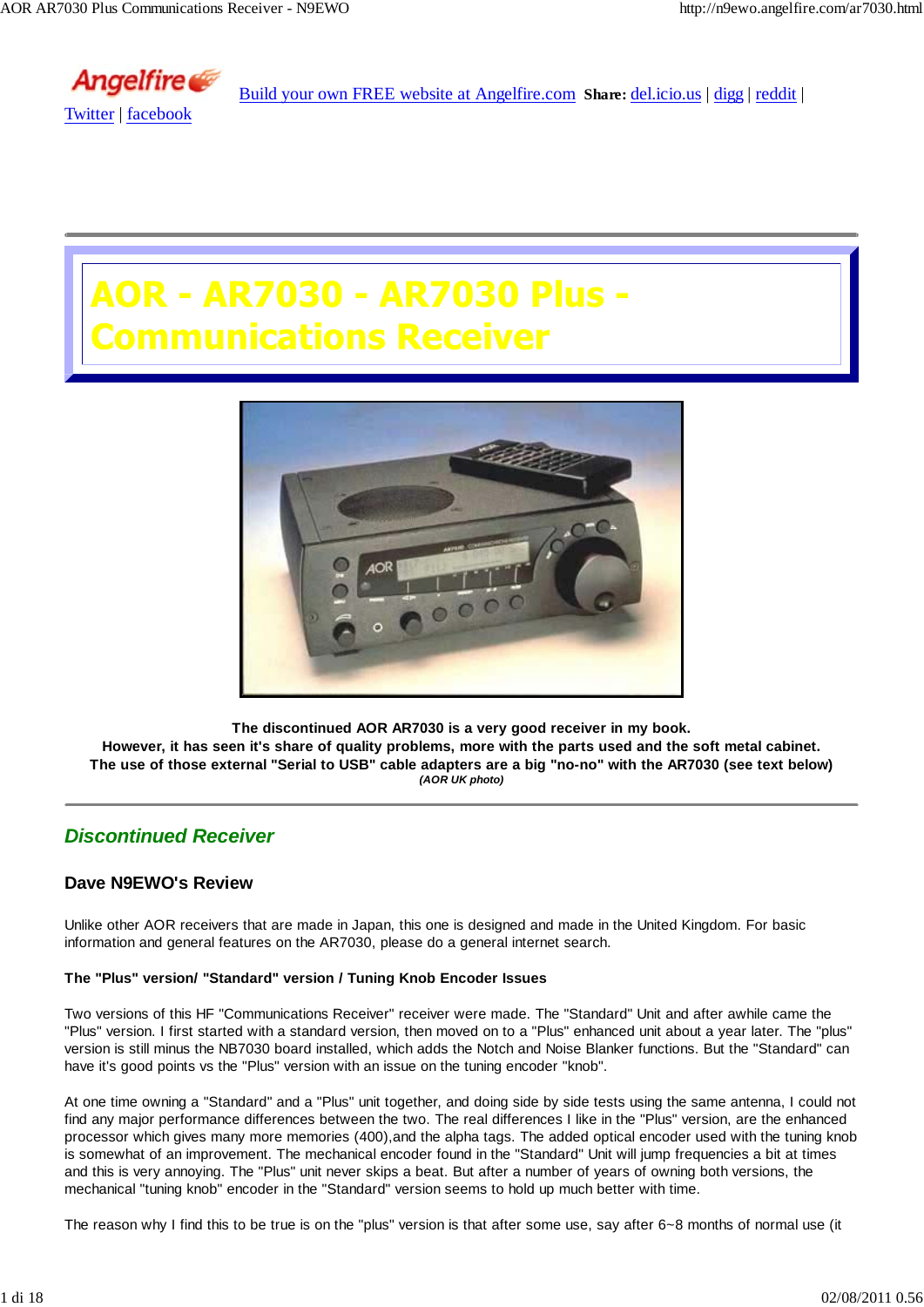

Build your own FREE website at Angelfire.com **Share:** del.icio.us | digg | reddit |

# R - AR7030 - AR7030 Plus **munications Receiver**



**The discontinued AOR AR7030 is a very good receiver in my book.**

**However, it has seen it's share of quality problems, more with the parts used and the soft metal cabinet. The use of those external "Serial to USB" cable adapters are a big "no-no" with the AR7030 (see text below)** *(AOR UK photo)*

### *Discontinued Receiver*

### **Dave N9EWO's Review**

Unlike other AOR receivers that are made in Japan, this one is designed and made in the United Kingdom. For basic information and general features on the AR7030, please do a general internet search.

### **The "Plus" version/ "Standard" version / Tuning Knob Encoder Issues**

Two versions of this HF "Communications Receiver" receiver were made. The "Standard" Unit and after awhile came the "Plus" version. I first started with a standard version, then moved on to a "Plus" enhanced unit about a year later. The "plus" version is still minus the NB7030 board installed, which adds the Notch and Noise Blanker functions. But the "Standard" can have it's good points vs the "Plus" version with an issue on the tuning encoder "knob".

At one time owning a "Standard" and a "Plus" unit together, and doing side by side tests using the same antenna, I could not find any major performance differences between the two. The real differences I like in the "Plus" version, are the enhanced processor which gives many more memories (400),and the alpha tags. The added optical encoder used with the tuning knob is somewhat of an improvement. The mechanical encoder found in the "Standard" Unit will jump frequencies a bit at times and this is very annoying. The "Plus" unit never skips a beat. But after a number of years of owning both versions, the mechanical "tuning knob" encoder in the "Standard" version seems to hold up much better with time.

The reason why I find this to be true is on the "plus" version is that after some use, say after 6~8 months of normal use (it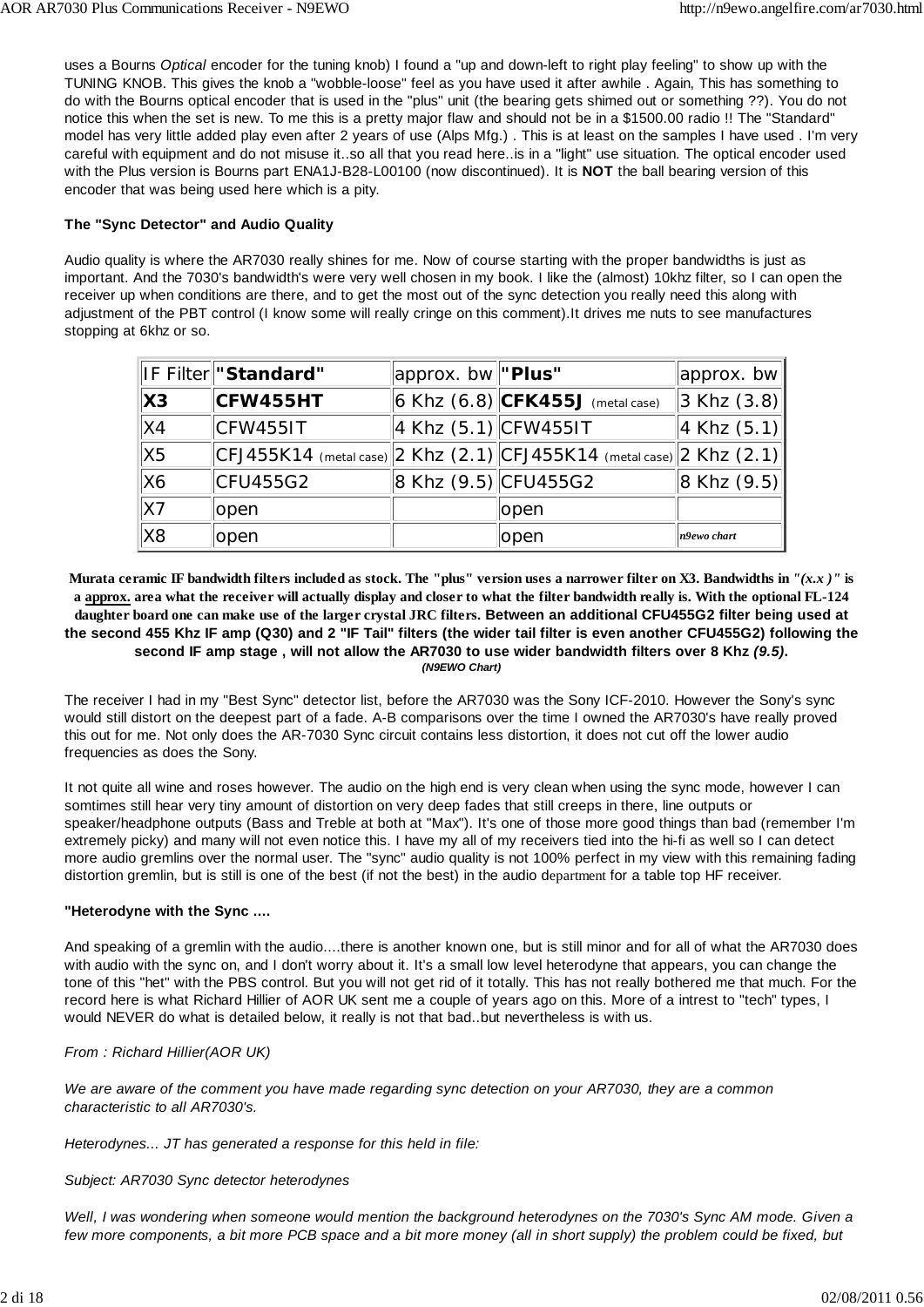uses a Bourns *Optical* encoder for the tuning knob) I found a "up and down-left to right play feeling" to show up with the TUNING KNOB. This gives the knob a "wobble-loose" feel as you have used it after awhile . Again, This has something to do with the Bourns optical encoder that is used in the "plus" unit (the bearing gets shimed out or something ??). You do not notice this when the set is new. To me this is a pretty major flaw and should not be in a \$1500.00 radio !! The "Standard" model has very little added play even after 2 years of use (Alps Mfg.) . This is at least on the samples I have used . I'm very careful with equipment and do not misuse it..so all that you read here..is in a "light" use situation. The optical encoder used with the Plus version is Bourns part ENA1J-B28-L00100 (now discontinued). It is **NOT** the ball bearing version of this encoder that was being used here which is a pity.

### **The "Sync Detector" and Audio Quality**

Audio quality is where the AR7030 really shines for me. Now of course starting with the proper bandwidths is just as important. And the 7030's bandwidth's were very well chosen in my book. I like the (almost) 10khz filter, so I can open the receiver up when conditions are there, and to get the most out of the sync detection you really need this along with adjustment of the PBT control (I know some will really cringe on this comment).It drives me nuts to see manufactures stopping at 6khz or so.

|                            | IF Filter "Standard"                                                                      | approx. bw "Plus"            |                                    | $ $ approx. bw $ $                 |
|----------------------------|-------------------------------------------------------------------------------------------|------------------------------|------------------------------------|------------------------------------|
| $\boldsymbol{\mathsf{X3}}$ | CFW455HT                                                                                  |                              | 6 Khz $(6.8)$ CFK455J (metal case) | $\left\vert 3 \right.$ Khz $(3.8)$ |
| X4                         | CFW4551T                                                                                  | 4 Khz $(5.1)$ CFW4551T       |                                    | $ 4$ Khz $(5.1) $                  |
| X5                         | $ \textsf{CFJ455K14} \rangle$ (metal case) 2 Khz (2.1) CFJ455K14 (metal case) 2 Khz (2.1) |                              |                                    |                                    |
| X6                         | CFU455G2                                                                                  | $\ 8$ Khz $(9.5)\ $ CFU455G2 |                                    | $\ 8$ Khz $(9.5)\ $                |
| X7                         | lopen                                                                                     |                              | open                               |                                    |
| X8                         | lopen                                                                                     |                              | open                               | n9ewo chart                        |

**Murata ceramic IF bandwidth filters included as stock. The "plus" version uses a narrower filter on X3. Bandwidths in** *"(x.x )"* **is a approx. area what the receiver will actually display and closer to what the filter bandwidth really is. With the optional FL-124 daughter board one can make use of the larger crystal JRC filters. Between an additional CFU455G2 filter being used at the second 455 Khz IF amp (Q30) and 2 "IF Tail" filters (the wider tail filter is even another CFU455G2) following the second IF amp stage , will not allow the AR7030 to use wider bandwidth filters over 8 Khz** *(9.5)***.** *(N9EWO Chart)*

The receiver I had in my "Best Sync" detector list, before the AR7030 was the Sony ICF-2010. However the Sony's sync would still distort on the deepest part of a fade. A-B comparisons over the time I owned the AR7030's have really proved this out for me. Not only does the AR-7030 Sync circuit contains less distortion, it does not cut off the lower audio frequencies as does the Sony.

It not quite all wine and roses however. The audio on the high end is very clean when using the sync mode, however I can somtimes still hear very tiny amount of distortion on very deep fades that still creeps in there, line outputs or speaker/headphone outputs (Bass and Treble at both at "Max"). It's one of those more good things than bad (remember I'm extremely picky) and many will not even notice this. I have my all of my receivers tied into the hi-fi as well so I can detect more audio gremlins over the normal user. The "sync" audio quality is not 100% perfect in my view with this remaining fading distortion gremlin, but is still is one of the best (if not the best) in the audio department for a table top HF receiver.

### **"Heterodyne with the Sync ....**

And speaking of a gremlin with the audio....there is another known one, but is still minor and for all of what the AR7030 does with audio with the sync on, and I don't worry about it. It's a small low level heterodyne that appears, you can change the tone of this "het" with the PBS control. But you will not get rid of it totally. This has not really bothered me that much. For the record here is what Richard Hillier of AOR UK sent me a couple of years ago on this. More of a intrest to "tech" types, I would NEVER do what is detailed below, it really is not that bad..but nevertheless is with us.

### *From : Richard Hillier(AOR UK)*

*We are aware of the comment you have made regarding sync detection on your AR7030, they are a common characteristic to all AR7030's.*

*Heterodynes... JT has generated a response for this held in file:*

### *Subject: AR7030 Sync detector heterodynes*

*Well, I was wondering when someone would mention the background heterodynes on the 7030's Sync AM mode. Given a few more components, a bit more PCB space and a bit more money (all in short supply) the problem could be fixed, but*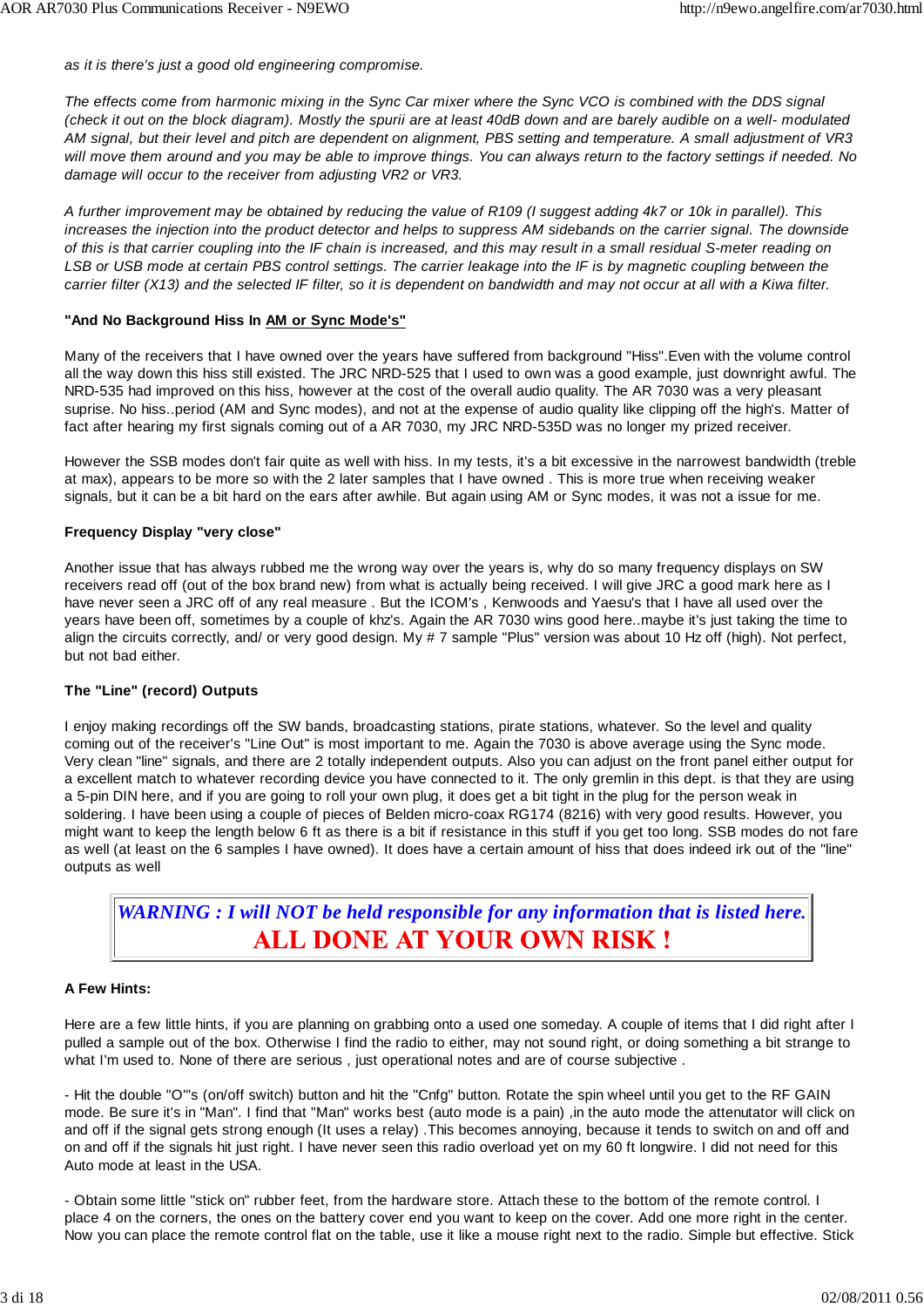*as it is there's just a good old engineering compromise.*

*The effects come from harmonic mixing in the Sync Car mixer where the Sync VCO is combined with the DDS signal (check it out on the block diagram). Mostly the spurii are at least 40dB down and are barely audible on a well- modulated AM signal, but their level and pitch are dependent on alignment, PBS setting and temperature. A small adjustment of VR3 will move them around and you may be able to improve things. You can always return to the factory settings if needed. No damage will occur to the receiver from adjusting VR2 or VR3.*

*A further improvement may be obtained by reducing the value of R109 (I suggest adding 4k7 or 10k in parallel). This increases the injection into the product detector and helps to suppress AM sidebands on the carrier signal. The downside of this is that carrier coupling into the IF chain is increased, and this may result in a small residual S-meter reading on LSB or USB mode at certain PBS control settings. The carrier leakage into the IF is by magnetic coupling between the carrier filter (X13) and the selected IF filter, so it is dependent on bandwidth and may not occur at all with a Kiwa filter.*

### **"And No Background Hiss In AM or Sync Mode's"**

Many of the receivers that I have owned over the years have suffered from background "Hiss".Even with the volume control all the way down this hiss still existed. The JRC NRD-525 that I used to own was a good example, just downright awful. The NRD-535 had improved on this hiss, however at the cost of the overall audio quality. The AR 7030 was a very pleasant suprise. No hiss..period (AM and Sync modes), and not at the expense of audio quality like clipping off the high's. Matter of fact after hearing my first signals coming out of a AR 7030, my JRC NRD-535D was no longer my prized receiver.

However the SSB modes don't fair quite as well with hiss. In my tests, it's a bit excessive in the narrowest bandwidth (treble at max), appears to be more so with the 2 later samples that I have owned . This is more true when receiving weaker signals, but it can be a bit hard on the ears after awhile. But again using AM or Sync modes, it was not a issue for me.

### **Frequency Display "very close"**

Another issue that has always rubbed me the wrong way over the years is, why do so many frequency displays on SW receivers read off (out of the box brand new) from what is actually being received. I will give JRC a good mark here as I have never seen a JRC off of any real measure . But the ICOM's , Kenwoods and Yaesu's that I have all used over the years have been off, sometimes by a couple of khz's. Again the AR 7030 wins good here..maybe it's just taking the time to align the circuits correctly, and/ or very good design. My # 7 sample "Plus" version was about 10 Hz off (high). Not perfect, but not bad either.

### **The "Line" (record) Outputs**

I enjoy making recordings off the SW bands, broadcasting stations, pirate stations, whatever. So the level and quality coming out of the receiver's "Line Out" is most important to me. Again the 7030 is above average using the Sync mode. Very clean "line" signals, and there are 2 totally independent outputs. Also you can adjust on the front panel either output for a excellent match to whatever recording device you have connected to it. The only gremlin in this dept. is that they are using a 5-pin DIN here, and if you are going to roll your own plug, it does get a bit tight in the plug for the person weak in soldering. I have been using a couple of pieces of Belden micro-coax RG174 (8216) with very good results. However, you might want to keep the length below 6 ft as there is a bit if resistance in this stuff if you get too long. SSB modes do not fare as well (at least on the 6 samples I have owned). It does have a certain amount of hiss that does indeed irk out of the "line" outputs as well

*WARNING : I will NOT be held responsible for any information that is listed here.* **ALL DONE AT YOUR OWN RISK!** 

### **A Few Hints:**

Here are a few little hints, if you are planning on grabbing onto a used one someday. A couple of items that I did right after I pulled a sample out of the box. Otherwise I find the radio to either, may not sound right, or doing something a bit strange to what I'm used to. None of there are serious, just operational notes and are of course subjective.

- Hit the double "O"'s (on/off switch) button and hit the "Cnfg" button. Rotate the spin wheel until you get to the RF GAIN mode. Be sure it's in "Man". I find that "Man" works best (auto mode is a pain) ,in the auto mode the attenutator will click on and off if the signal gets strong enough (It uses a relay) .This becomes annoying, because it tends to switch on and off and on and off if the signals hit just right. I have never seen this radio overload yet on my 60 ft longwire. I did not need for this Auto mode at least in the USA.

- Obtain some little "stick on" rubber feet, from the hardware store. Attach these to the bottom of the remote control. I place 4 on the corners, the ones on the battery cover end you want to keep on the cover. Add one more right in the center. Now you can place the remote control flat on the table, use it like a mouse right next to the radio. Simple but effective. Stick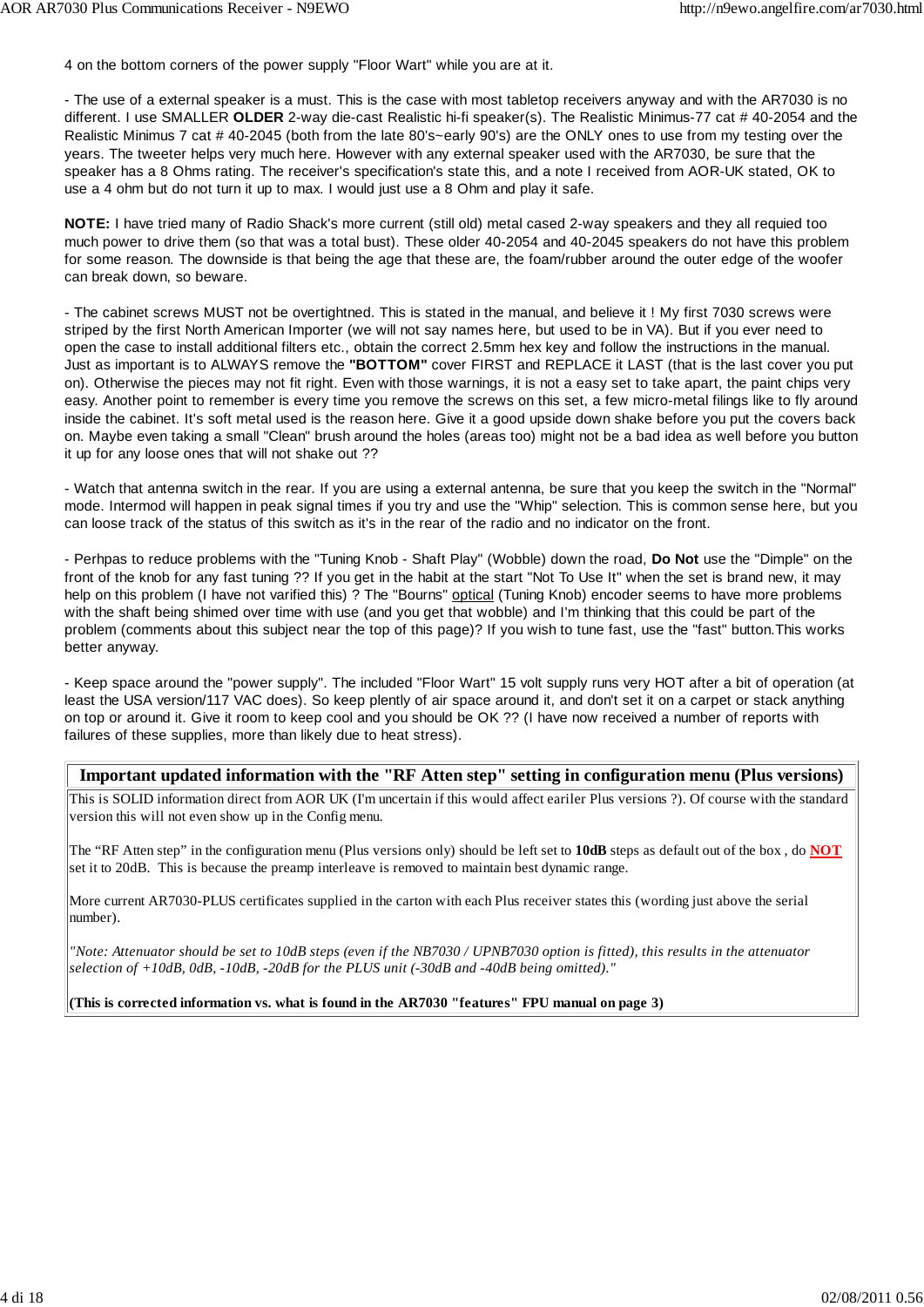4 on the bottom corners of the power supply "Floor Wart" while you are at it.

- The use of a external speaker is a must. This is the case with most tabletop receivers anyway and with the AR7030 is no different. I use SMALLER **OLDER** 2-way die-cast Realistic hi-fi speaker(s). The Realistic Minimus-77 cat # 40-2054 and the Realistic Minimus 7 cat # 40-2045 (both from the late 80's~early 90's) are the ONLY ones to use from my testing over the years. The tweeter helps very much here. However with any external speaker used with the AR7030, be sure that the speaker has a 8 Ohms rating. The receiver's specification's state this, and a note I received from AOR-UK stated, OK to use a 4 ohm but do not turn it up to max. I would just use a 8 Ohm and play it safe.

**NOTE:** I have tried many of Radio Shack's more current (still old) metal cased 2-way speakers and they all requied too much power to drive them (so that was a total bust). These older 40-2054 and 40-2045 speakers do not have this problem for some reason. The downside is that being the age that these are, the foam/rubber around the outer edge of the woofer can break down, so beware.

- The cabinet screws MUST not be overtightned. This is stated in the manual, and believe it ! My first 7030 screws were striped by the first North American Importer (we will not say names here, but used to be in VA). But if you ever need to open the case to install additional filters etc., obtain the correct 2.5mm hex key and follow the instructions in the manual. Just as important is to ALWAYS remove the **"BOTTOM"** cover FIRST and REPLACE it LAST (that is the last cover you put on). Otherwise the pieces may not fit right. Even with those warnings, it is not a easy set to take apart, the paint chips very easy. Another point to remember is every time you remove the screws on this set, a few micro-metal filings like to fly around inside the cabinet. It's soft metal used is the reason here. Give it a good upside down shake before you put the covers back on. Maybe even taking a small "Clean" brush around the holes (areas too) might not be a bad idea as well before you button it up for any loose ones that will not shake out ??

- Watch that antenna switch in the rear. If you are using a external antenna, be sure that you keep the switch in the "Normal" mode. Intermod will happen in peak signal times if you try and use the "Whip" selection. This is common sense here, but you can loose track of the status of this switch as it's in the rear of the radio and no indicator on the front.

- Perhpas to reduce problems with the "Tuning Knob - Shaft Play" (Wobble) down the road, **Do Not** use the "Dimple" on the front of the knob for any fast tuning ?? If you get in the habit at the start "Not To Use It" when the set is brand new, it may help on this problem (I have not varified this) ? The "Bourns" optical (Tuning Knob) encoder seems to have more problems with the shaft being shimed over time with use (and you get that wobble) and I'm thinking that this could be part of the problem (comments about this subject near the top of this page)? If you wish to tune fast, use the "fast" button.This works better anyway.

- Keep space around the "power supply". The included "Floor Wart" 15 volt supply runs very HOT after a bit of operation (at least the USA version/117 VAC does). So keep plently of air space around it, and don't set it on a carpet or stack anything on top or around it. Give it room to keep cool and you should be OK ?? (I have now received a number of reports with failures of these supplies, more than likely due to heat stress).

### **Important updated information with the "RF Atten step" setting in configuration menu (Plus versions)**

This is SOLID information direct from AOR UK (I'm uncertain if this would affect eariler Plus versions ?). Of course with the standard version this will not even show up in the Config menu.

The "RF Atten step" in the configuration menu (Plus versions only) should be left set to **10dB** steps as default out of the box , do **NOT** set it to 20dB. This is because the preamp interleave is removed to maintain best dynamic range.

More current AR7030-PLUS certificates supplied in the carton with each Plus receiver states this (wording just above the serial number).

*"Note: Attenuator should be set to 10dB steps (even if the NB7030 / UPNB7030 option is fitted), this results in the attenuator selection of +10dB, 0dB, -10dB, -20dB for the PLUS unit (-30dB and -40dB being omitted)."*

**(This is corrected information vs. what is found in the AR7030 "features" FPU manual on page 3)**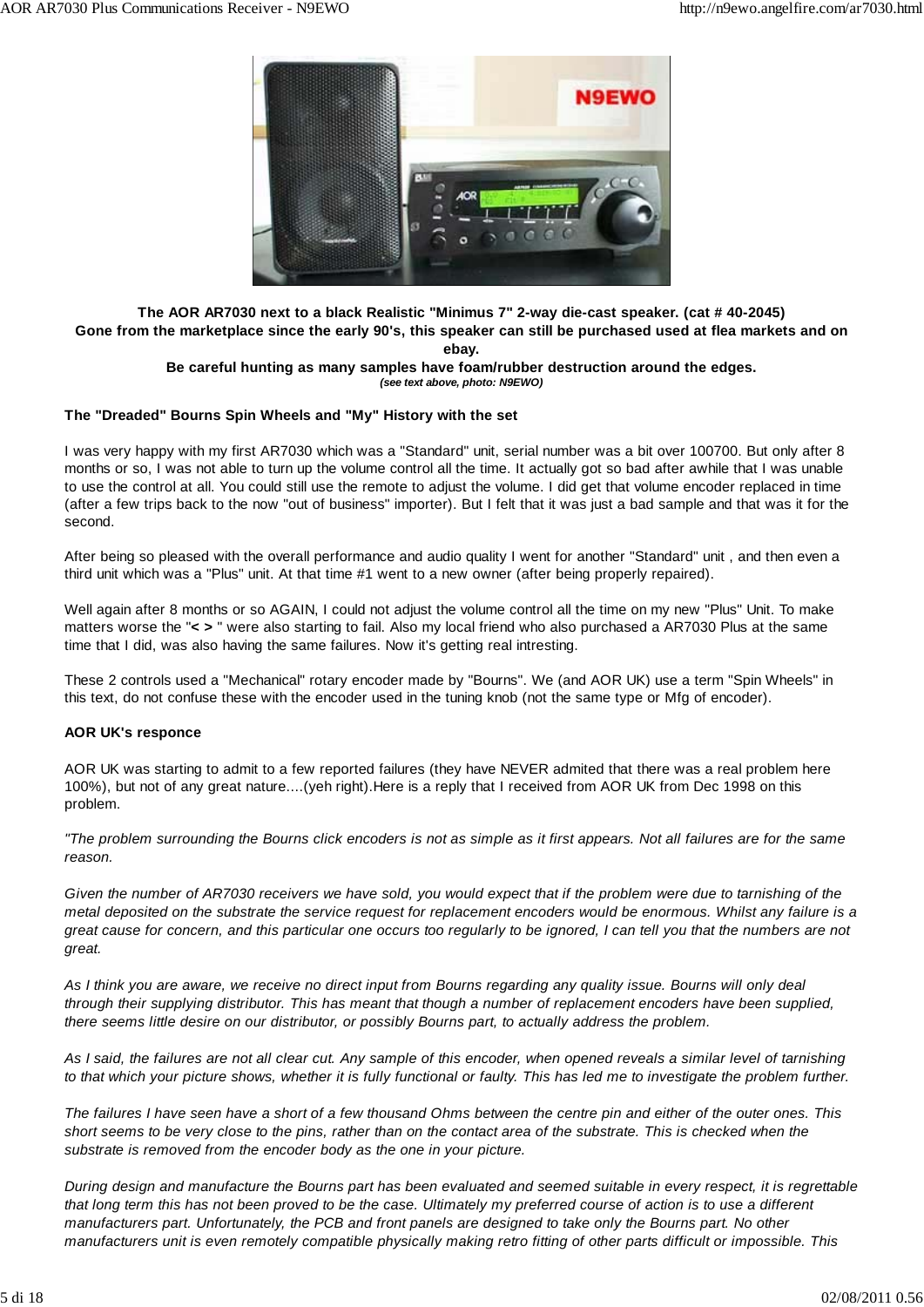

### **The AOR AR7030 next to a black Realistic "Minimus 7" 2-way die-cast speaker. (cat # 40-2045) Gone from the marketplace since the early 90's, this speaker can still be purchased used at flea markets and on ebay.**

### **Be careful hunting as many samples have foam/rubber destruction around the edges.** *(see text above, photo: N9EWO)*

### **The "Dreaded" Bourns Spin Wheels and "My" History with the set**

I was very happy with my first AR7030 which was a "Standard" unit, serial number was a bit over 100700. But only after 8 months or so, I was not able to turn up the volume control all the time. It actually got so bad after awhile that I was unable to use the control at all. You could still use the remote to adjust the volume. I did get that volume encoder replaced in time (after a few trips back to the now "out of business" importer). But I felt that it was just a bad sample and that was it for the second.

After being so pleased with the overall performance and audio quality I went for another "Standard" unit , and then even a third unit which was a "Plus" unit. At that time #1 went to a new owner (after being properly repaired).

Well again after 8 months or so AGAIN, I could not adjust the volume control all the time on my new "Plus" Unit. To make matters worse the "**< >** " were also starting to fail. Also my local friend who also purchased a AR7030 Plus at the same time that I did, was also having the same failures. Now it's getting real intresting.

These 2 controls used a "Mechanical" rotary encoder made by "Bourns". We (and AOR UK) use a term "Spin Wheels" in this text, do not confuse these with the encoder used in the tuning knob (not the same type or Mfg of encoder).

### **AOR UK's responce**

AOR UK was starting to admit to a few reported failures (they have NEVER admited that there was a real problem here 100%), but not of any great nature....(yeh right).Here is a reply that I received from AOR UK from Dec 1998 on this problem.

*"The problem surrounding the Bourns click encoders is not as simple as it first appears. Not all failures are for the same reason.*

*Given the number of AR7030 receivers we have sold, you would expect that if the problem were due to tarnishing of the metal deposited on the substrate the service request for replacement encoders would be enormous. Whilst any failure is a great cause for concern, and this particular one occurs too regularly to be ignored, I can tell you that the numbers are not great.*

*As I think you are aware, we receive no direct input from Bourns regarding any quality issue. Bourns will only deal through their supplying distributor. This has meant that though a number of replacement encoders have been supplied, there seems little desire on our distributor, or possibly Bourns part, to actually address the problem.*

*As I said, the failures are not all clear cut. Any sample of this encoder, when opened reveals a similar level of tarnishing to that which your picture shows, whether it is fully functional or faulty. This has led me to investigate the problem further.*

*The failures I have seen have a short of a few thousand Ohms between the centre pin and either of the outer ones. This short seems to be very close to the pins, rather than on the contact area of the substrate. This is checked when the substrate is removed from the encoder body as the one in your picture.*

*During design and manufacture the Bourns part has been evaluated and seemed suitable in every respect, it is regrettable that long term this has not been proved to be the case. Ultimately my preferred course of action is to use a different manufacturers part. Unfortunately, the PCB and front panels are designed to take only the Bourns part. No other manufacturers unit is even remotely compatible physically making retro fitting of other parts difficult or impossible. This*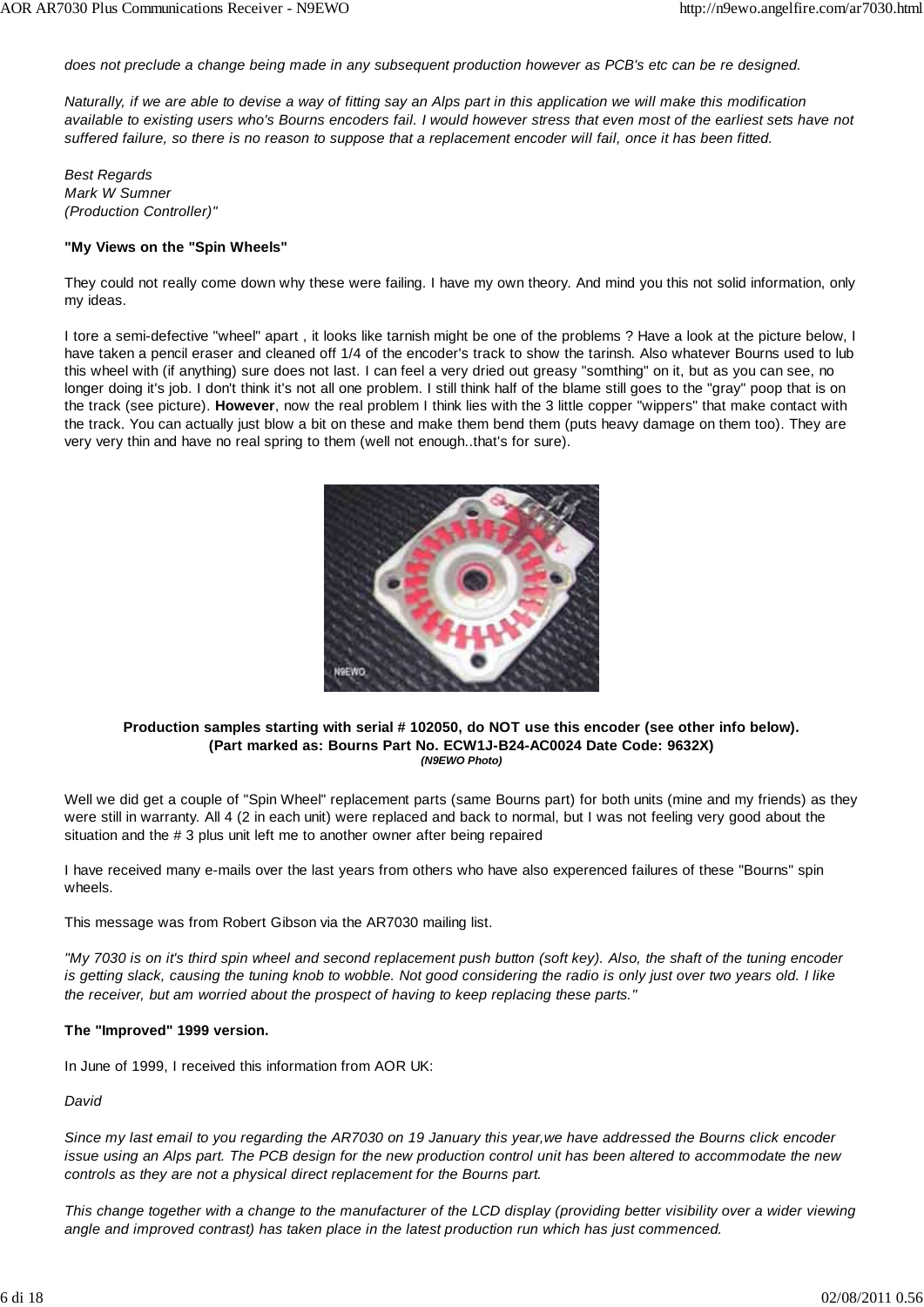*does not preclude a change being made in any subsequent production however as PCB's etc can be re designed.*

*Naturally, if we are able to devise a way of fitting say an Alps part in this application we will make this modification available to existing users who's Bourns encoders fail. I would however stress that even most of the earliest sets have not suffered failure, so there is no reason to suppose that a replacement encoder will fail, once it has been fitted.*

*Best Regards Mark W Sumner (Production Controller)"*

### **"My Views on the "Spin Wheels"**

They could not really come down why these were failing. I have my own theory. And mind you this not solid information, only my ideas.

I tore a semi-defective "wheel" apart , it looks like tarnish might be one of the problems ? Have a look at the picture below, I have taken a pencil eraser and cleaned off 1/4 of the encoder's track to show the tarinsh. Also whatever Bourns used to lub this wheel with (if anything) sure does not last. I can feel a very dried out greasy "somthing" on it, but as you can see, no longer doing it's job. I don't think it's not all one problem. I still think half of the blame still goes to the "gray" poop that is on the track (see picture). **However**, now the real problem I think lies with the 3 little copper "wippers" that make contact with the track. You can actually just blow a bit on these and make them bend them (puts heavy damage on them too). They are very very thin and have no real spring to them (well not enough..that's for sure).



#### **Production samples starting with serial # 102050, do NOT use this encoder (see other info below). (Part marked as: Bourns Part No. ECW1J-B24-AC0024 Date Code: 9632X)** *(N9EWO Photo)*

Well we did get a couple of "Spin Wheel" replacement parts (same Bourns part) for both units (mine and my friends) as they were still in warranty. All 4 (2 in each unit) were replaced and back to normal, but I was not feeling very good about the situation and the # 3 plus unit left me to another owner after being repaired

I have received many e-mails over the last years from others who have also experenced failures of these "Bourns" spin wheels.

This message was from Robert Gibson via the AR7030 mailing list.

*"My 7030 is on it's third spin wheel and second replacement push button (soft key). Also, the shaft of the tuning encoder is getting slack, causing the tuning knob to wobble. Not good considering the radio is only just over two years old. I like the receiver, but am worried about the prospect of having to keep replacing these parts."*

### **The "Improved" 1999 version.**

In June of 1999, I received this information from AOR UK:

*David*

*Since my last email to you regarding the AR7030 on 19 January this year,we have addressed the Bourns click encoder issue using an Alps part. The PCB design for the new production control unit has been altered to accommodate the new controls as they are not a physical direct replacement for the Bourns part.*

*This change together with a change to the manufacturer of the LCD display (providing better visibility over a wider viewing angle and improved contrast) has taken place in the latest production run which has just commenced.*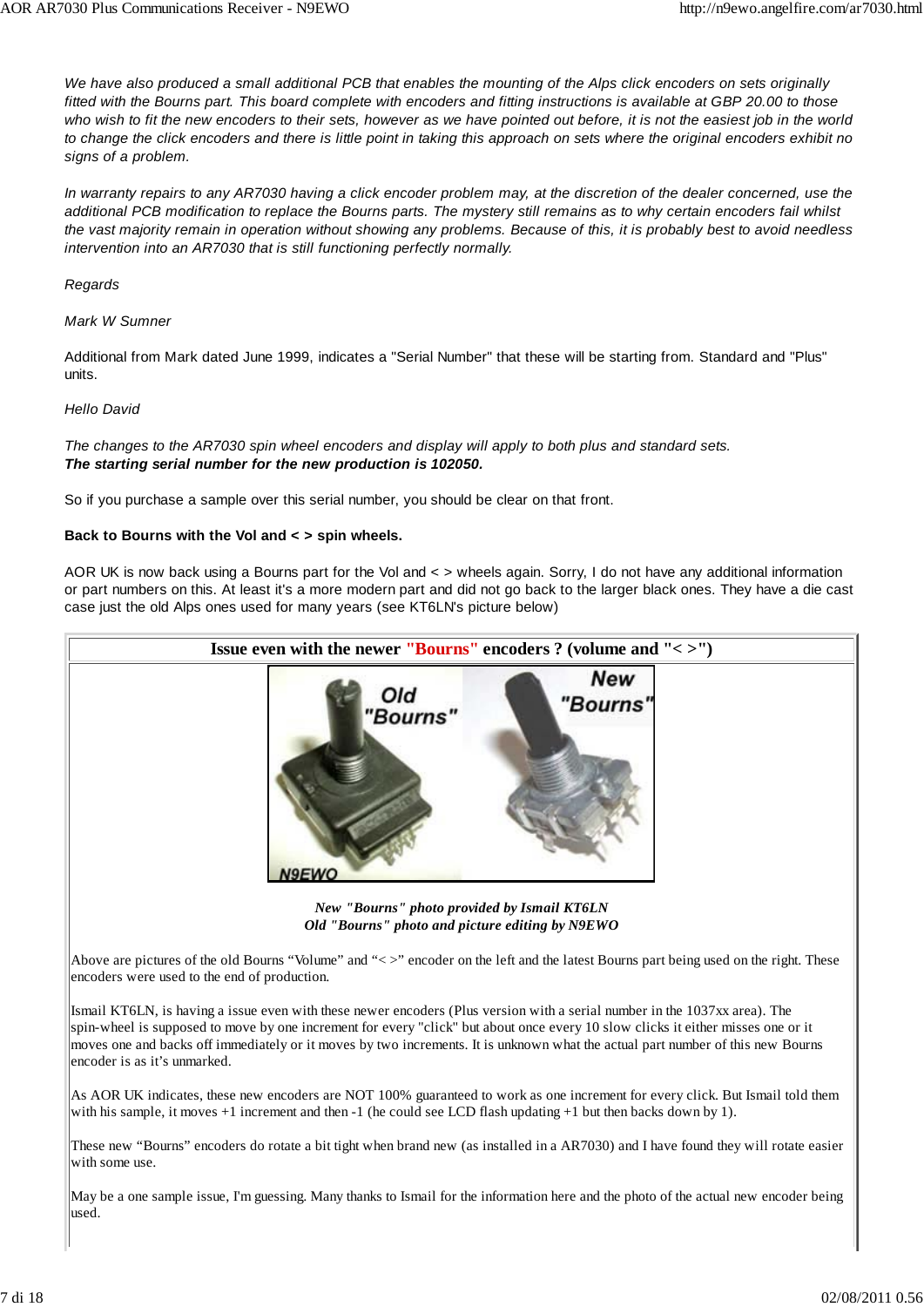*We have also produced a small additional PCB that enables the mounting of the Alps click encoders on sets originally fitted with the Bourns part. This board complete with encoders and fitting instructions is available at GBP 20.00 to those who wish to fit the new encoders to their sets, however as we have pointed out before, it is not the easiest job in the world to change the click encoders and there is little point in taking this approach on sets where the original encoders exhibit no signs of a problem.*

*In warranty repairs to any AR7030 having a click encoder problem may, at the discretion of the dealer concerned, use the additional PCB modification to replace the Bourns parts. The mystery still remains as to why certain encoders fail whilst the vast majority remain in operation without showing any problems. Because of this, it is probably best to avoid needless intervention into an AR7030 that is still functioning perfectly normally.*

### *Regards*

### *Mark W Sumner*

Additional from Mark dated June 1999, indicates a "Serial Number" that these will be starting from. Standard and "Plus" units.

### *Hello David*

*The changes to the AR7030 spin wheel encoders and display will apply to both plus and standard sets. The starting serial number for the new production is 102050.*

So if you purchase a sample over this serial number, you should be clear on that front.

### **Back to Bourns with the Vol and < > spin wheels.**

AOR UK is now back using a Bourns part for the Vol and < > wheels again. Sorry, I do not have any additional information or part numbers on this. At least it's a more modern part and did not go back to the larger black ones. They have a die cast case just the old Alps ones used for many years (see KT6LN's picture below)



May be a one sample issue, I'm guessing. Many thanks to Ismail for the information here and the photo of the actual new encoder being used.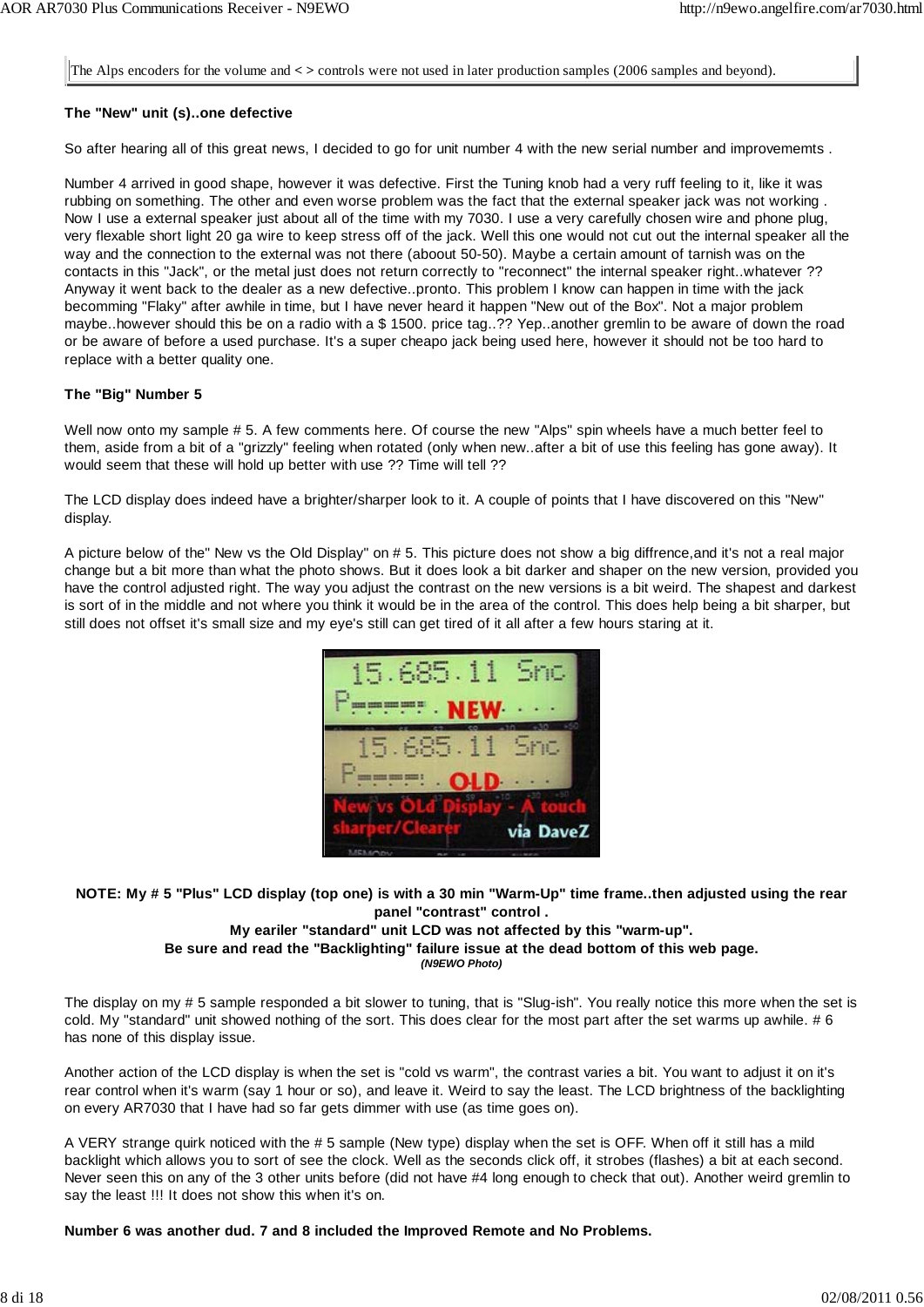The Alps encoders for the volume and **< >** controls were not used in later production samples (2006 samples and beyond).

### **The "New" unit (s)..one defective**

So after hearing all of this great news, I decided to go for unit number 4 with the new serial number and improvememts .

Number 4 arrived in good shape, however it was defective. First the Tuning knob had a very ruff feeling to it, like it was rubbing on something. The other and even worse problem was the fact that the external speaker jack was not working . Now I use a external speaker just about all of the time with my 7030. I use a very carefully chosen wire and phone plug, very flexable short light 20 ga wire to keep stress off of the jack. Well this one would not cut out the internal speaker all the way and the connection to the external was not there (aboout 50-50). Maybe a certain amount of tarnish was on the contacts in this "Jack", or the metal just does not return correctly to "reconnect" the internal speaker right..whatever ?? Anyway it went back to the dealer as a new defective..pronto. This problem I know can happen in time with the jack becomming "Flaky" after awhile in time, but I have never heard it happen "New out of the Box". Not a major problem maybe..however should this be on a radio with a \$ 1500. price tag..?? Yep..another gremlin to be aware of down the road or be aware of before a used purchase. It's a super cheapo jack being used here, however it should not be too hard to replace with a better quality one.

### **The "Big" Number 5**

Well now onto my sample # 5. A few comments here. Of course the new "Alps" spin wheels have a much better feel to them, aside from a bit of a "grizzly" feeling when rotated (only when new..after a bit of use this feeling has gone away). It would seem that these will hold up better with use ?? Time will tell ??

The LCD display does indeed have a brighter/sharper look to it. A couple of points that I have discovered on this "New" display.

A picture below of the" New vs the Old Display" on # 5. This picture does not show a big diffrence,and it's not a real major change but a bit more than what the photo shows. But it does look a bit darker and shaper on the new version, provided you have the control adjusted right. The way you adjust the contrast on the new versions is a bit weird. The shapest and darkest is sort of in the middle and not where you think it would be in the area of the control. This does help being a bit sharper, but still does not offset it's small size and my eye's still can get tired of it all after a few hours staring at it.



### **NOTE: My # 5 "Plus" LCD display (top one) is with a 30 min "Warm-Up" time frame..then adjusted using the rear panel "contrast" control .**

### **My eariler "standard" unit LCD was not affected by this "warm-up".**

**Be sure and read the "Backlighting" failure issue at the dead bottom of this web page.**

*(N9EWO Photo)*

The display on my # 5 sample responded a bit slower to tuning, that is "Slug-ish". You really notice this more when the set is cold. My "standard" unit showed nothing of the sort. This does clear for the most part after the set warms up awhile. # 6 has none of this display issue.

Another action of the LCD display is when the set is "cold vs warm", the contrast varies a bit. You want to adjust it on it's rear control when it's warm (say 1 hour or so), and leave it. Weird to say the least. The LCD brightness of the backlighting on every AR7030 that I have had so far gets dimmer with use (as time goes on).

A VERY strange quirk noticed with the # 5 sample (New type) display when the set is OFF. When off it still has a mild backlight which allows you to sort of see the clock. Well as the seconds click off, it strobes (flashes) a bit at each second. Never seen this on any of the 3 other units before (did not have #4 long enough to check that out). Another weird gremlin to say the least !!! It does not show this when it's on.

**Number 6 was another dud. 7 and 8 included the Improved Remote and No Problems.**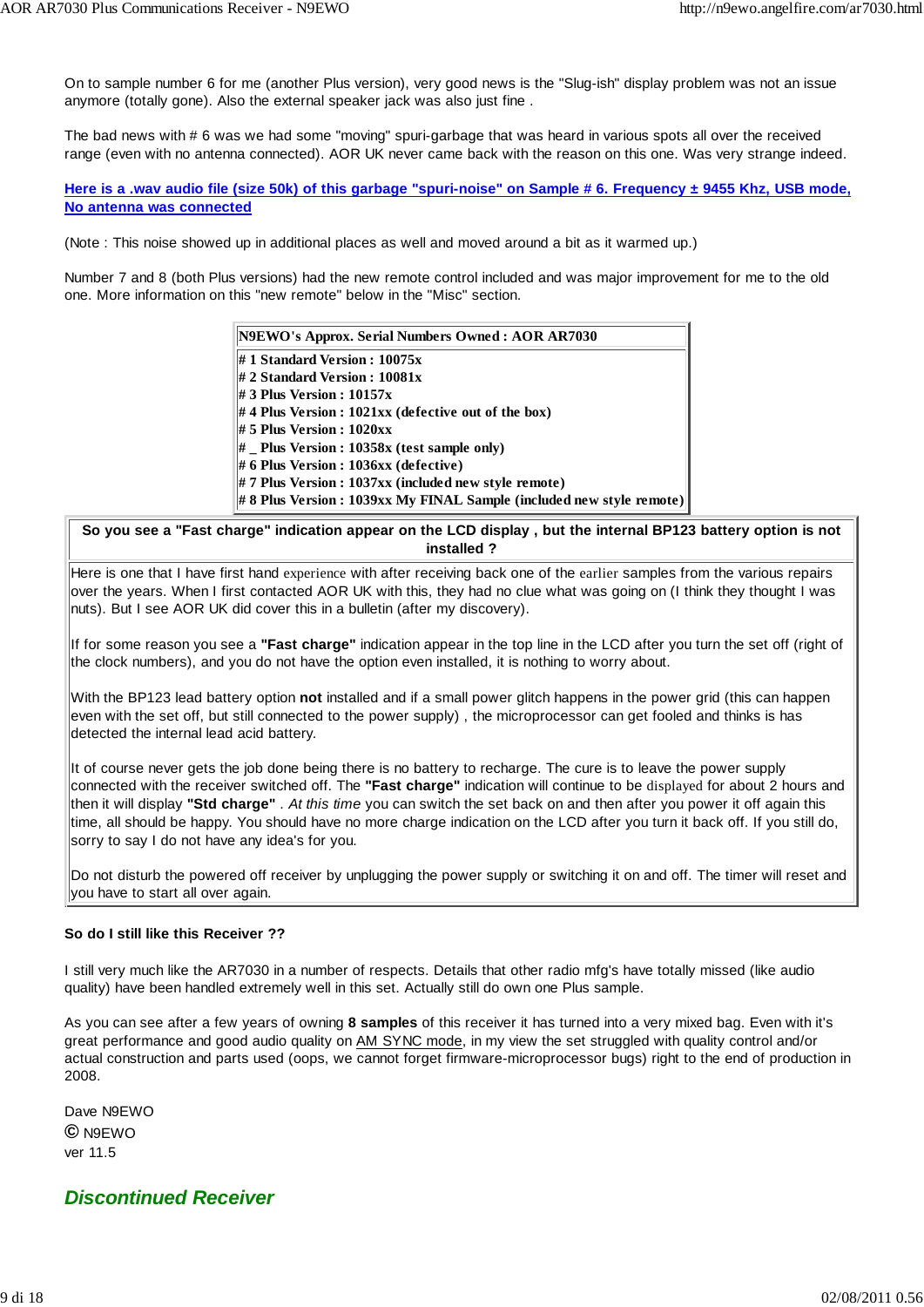On to sample number 6 for me (another Plus version), very good news is the "Slug-ish" display problem was not an issue anymore (totally gone). Also the external speaker jack was also just fine .

The bad news with # 6 was we had some "moving" spuri-garbage that was heard in various spots all over the received range (even with no antenna connected). AOR UK never came back with the reason on this one. Was very strange indeed.

**Here is a .wav audio file (size 50k) of this garbage "spuri-noise" on Sample # 6. Frequency ± 9455 Khz, USB mode, No antenna was connected**

(Note : This noise showed up in additional places as well and moved around a bit as it warmed up.)

Number 7 and 8 (both Plus versions) had the new remote control included and was major improvement for me to the old one. More information on this "new remote" below in the "Misc" section.

| N9EWO's Approx. Serial Numbers Owned: AOR AR7030                         |  |  |  |
|--------------------------------------------------------------------------|--|--|--|
| #1 Standard Version : $10075x$                                           |  |  |  |
| $\#$ 2 Standard Version : 10081x                                         |  |  |  |
| # 3 Plus Version : $10157x$                                              |  |  |  |
| $\#$ 4 Plus Version : 1021xx (defective out of the box)                  |  |  |  |
| $\# 5$ Plus Version : 1020xx                                             |  |  |  |
| $#$ Plus Version : 10358x (test sample only)                             |  |  |  |
| $\#$ 6 Plus Version : 1036xx (defective)                                 |  |  |  |
| $\#$ 7 Plus Version : 1037xx (included new style remote)                 |  |  |  |
| $\# 8$ Plus Version : 1039xx My FINAL Sample (included new style remote) |  |  |  |

### **So you see a "Fast charge" indication appear on the LCD display , but the internal BP123 battery option is not installed ?**

Here is one that I have first hand experience with after receiving back one of the earlier samples from the various repairs over the years. When I first contacted AOR UK with this, they had no clue what was going on (I think they thought I was nuts). But I see AOR UK did cover this in a bulletin (after my discovery).

If for some reason you see a **"Fast charge"** indication appear in the top line in the LCD after you turn the set off (right of the clock numbers), and you do not have the option even installed, it is nothing to worry about.

With the BP123 lead battery option **not** installed and if a small power glitch happens in the power grid (this can happen even with the set off, but still connected to the power supply), the microprocessor can get fooled and thinks is has detected the internal lead acid battery.

It of course never gets the job done being there is no battery to recharge. The cure is to leave the power supply connected with the receiver switched off. The **"Fast charge"** indication will continue to be displayed for about 2 hours and then it will display **"Std charge"** . *At this time* you can switch the set back on and then after you power it off again this time, all should be happy. You should have no more charge indication on the LCD after you turn it back off. If you still do, sorry to say I do not have any idea's for you.

Do not disturb the powered off receiver by unplugging the power supply or switching it on and off. The timer will reset and you have to start all over again.

### **So do I still like this Receiver ??**

I still very much like the AR7030 in a number of respects. Details that other radio mfg's have totally missed (like audio quality) have been handled extremely well in this set. Actually still do own one Plus sample.

As you can see after a few years of owning **8 samples** of this receiver it has turned into a very mixed bag. Even with it's great performance and good audio quality on AM SYNC mode, in my view the set struggled with quality control and/or actual construction and parts used (oops, we cannot forget firmware-microprocessor bugs) right to the end of production in 2008.

Dave N9EWO **©** N9EWO ver 11.5

### *Discontinued Receiver*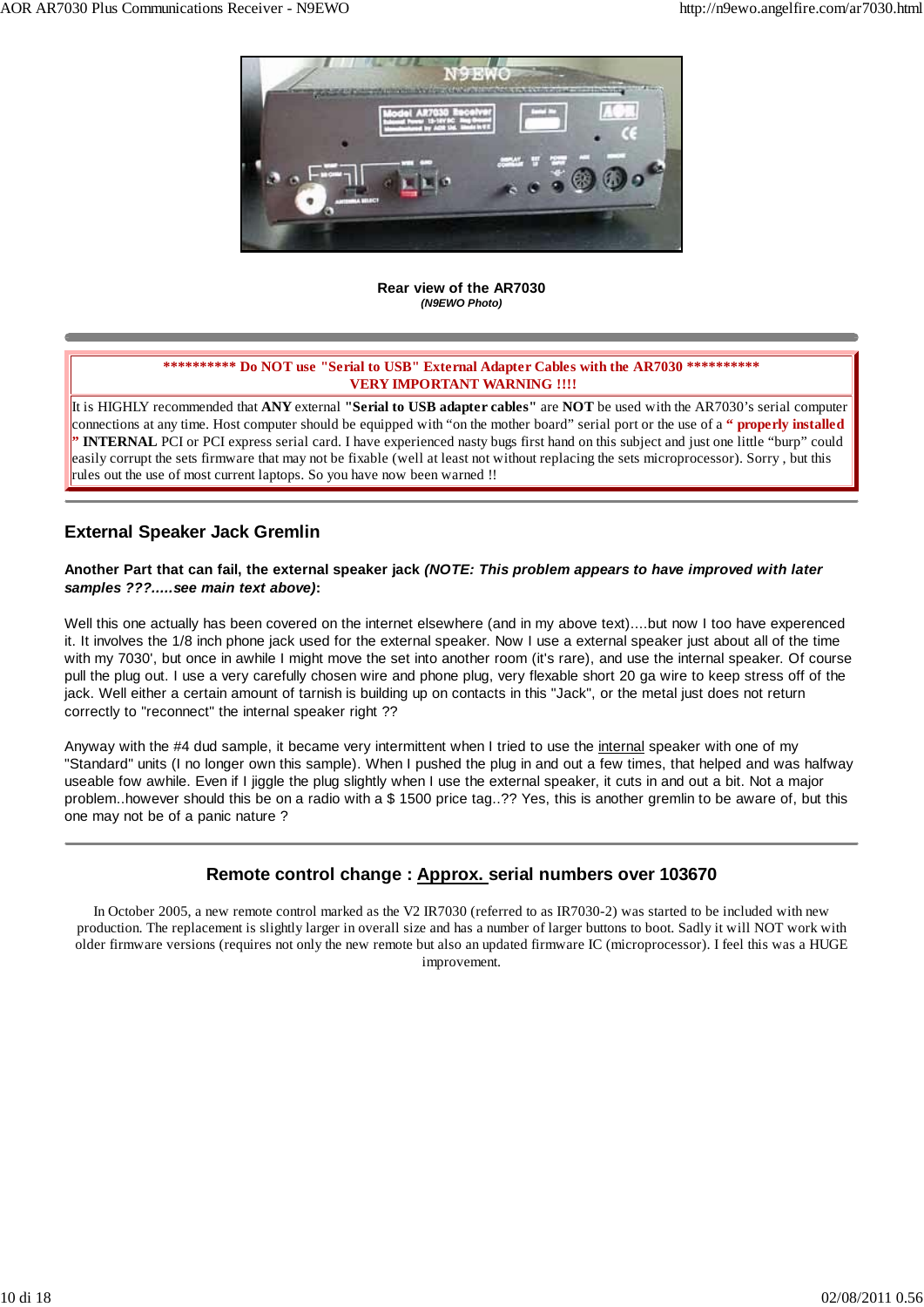

**Rear view of the AR7030** *(N9EWO Photo)*

### **\*\*\*\*\*\*\*\*\*\* Do NOT use "Serial to USB" External Adapter Cables with the AR7030 \*\*\*\*\*\*\*\*\*\* VERY IMPORTANT WARNING !!!!**

It is HIGHLY recommended that **ANY** external **"Serial to USB adapter cables"** are **NOT** be used with the AR7030's serial computer connections at any time. Host computer should be equipped with "on the mother board" serial port or the use of a **" properly installed " INTERNAL** PCI or PCI express serial card. I have experienced nasty bugs first hand on this subject and just one little "burp" could easily corrupt the sets firmware that may not be fixable (well at least not without replacing the sets microprocessor). Sorry , but this rules out the use of most current laptops. So you have now been warned !!

### **External Speaker Jack Gremlin**

### **Another Part that can fail, the external speaker jack** *(NOTE: This problem appears to have improved with later samples ???.....see main text above)***:**

Well this one actually has been covered on the internet elsewhere (and in my above text)....but now I too have experenced it. It involves the 1/8 inch phone jack used for the external speaker. Now I use a external speaker just about all of the time with my 7030', but once in awhile I might move the set into another room (it's rare), and use the internal speaker. Of course pull the plug out. I use a very carefully chosen wire and phone plug, very flexable short 20 ga wire to keep stress off of the jack. Well either a certain amount of tarnish is building up on contacts in this "Jack", or the metal just does not return correctly to "reconnect" the internal speaker right ??

Anyway with the #4 dud sample, it became very intermittent when I tried to use the internal speaker with one of my "Standard" units (I no longer own this sample). When I pushed the plug in and out a few times, that helped and was halfway useable fow awhile. Even if I jiggle the plug slightly when I use the external speaker, it cuts in and out a bit. Not a major problem..however should this be on a radio with a \$ 1500 price tag..?? Yes, this is another gremlin to be aware of, but this one may not be of a panic nature ?

### **Remote control change : Approx. serial numbers over 103670**

In October 2005, a new remote control marked as the V2 IR7030 (referred to as IR7030-2) was started to be included with new production. The replacement is slightly larger in overall size and has a number of larger buttons to boot. Sadly it will NOT work with older firmware versions (requires not only the new remote but also an updated firmware IC (microprocessor). I feel this was a HUGE improvement.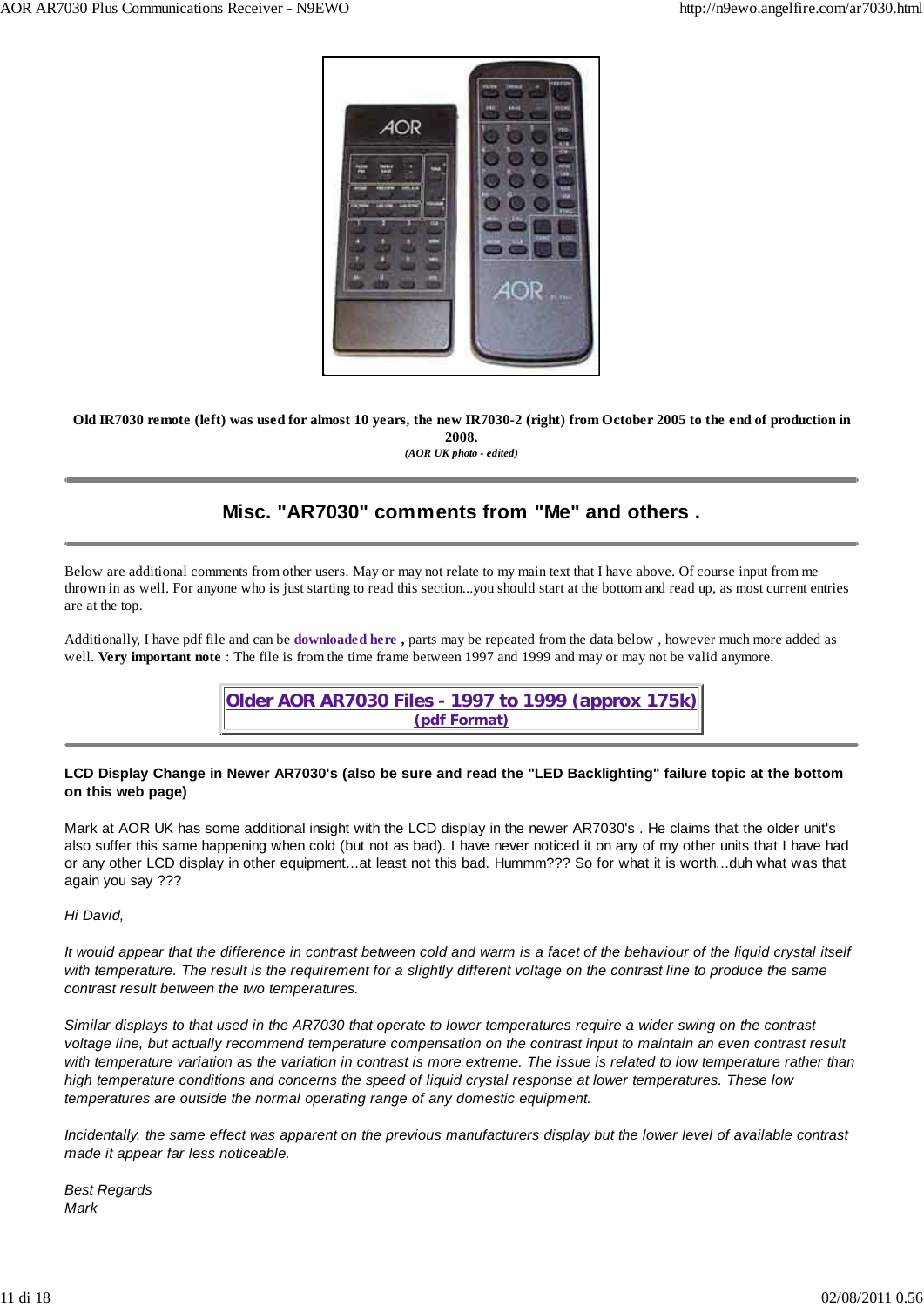

**Old IR7030 remote (left) was used for almost 10 years, the new IR7030-2 (right) from October 2005 to the end of production in 2008.**

*(AOR UK photo - edited)*

### **Misc. "AR7030" comments from "Me" and others .**

Below are additional comments from other users. May or may not relate to my main text that I have above. Of course input from me thrown in as well. For anyone who is just starting to read this section...you should start at the bottom and read up, as most current entries are at the top.

Additionally, I have pdf file and can be **downloaded here ,** parts may be repeated from the data below , however much more added as well. **Very important note** : The file is from the time frame between 1997 and 1999 and may or may not be valid anymore.

> **Older AOR AR7030 Files - 1997 to 1999 (approx 175k) (pdf Format)**

### **LCD Display Change in Newer AR7030's (also be sure and read the "LED Backlighting" failure topic at the bottom on this web page)**

Mark at AOR UK has some additional insight with the LCD display in the newer AR7030's . He claims that the older unit's also suffer this same happening when cold (but not as bad). I have never noticed it on any of my other units that I have had or any other LCD display in other equipment...at least not this bad. Hummm??? So for what it is worth...duh what was that again you say ???

*Hi David,*

*It would appear that the difference in contrast between cold and warm is a facet of the behaviour of the liquid crystal itself with temperature. The result is the requirement for a slightly different voltage on the contrast line to produce the same contrast result between the two temperatures.*

*Similar displays to that used in the AR7030 that operate to lower temperatures require a wider swing on the contrast voltage line, but actually recommend temperature compensation on the contrast input to maintain an even contrast result with temperature variation as the variation in contrast is more extreme. The issue is related to low temperature rather than high temperature conditions and concerns the speed of liquid crystal response at lower temperatures. These low temperatures are outside the normal operating range of any domestic equipment.*

*Incidentally, the same effect was apparent on the previous manufacturers display but the lower level of available contrast made it appear far less noticeable.*

*Best Regards Mark*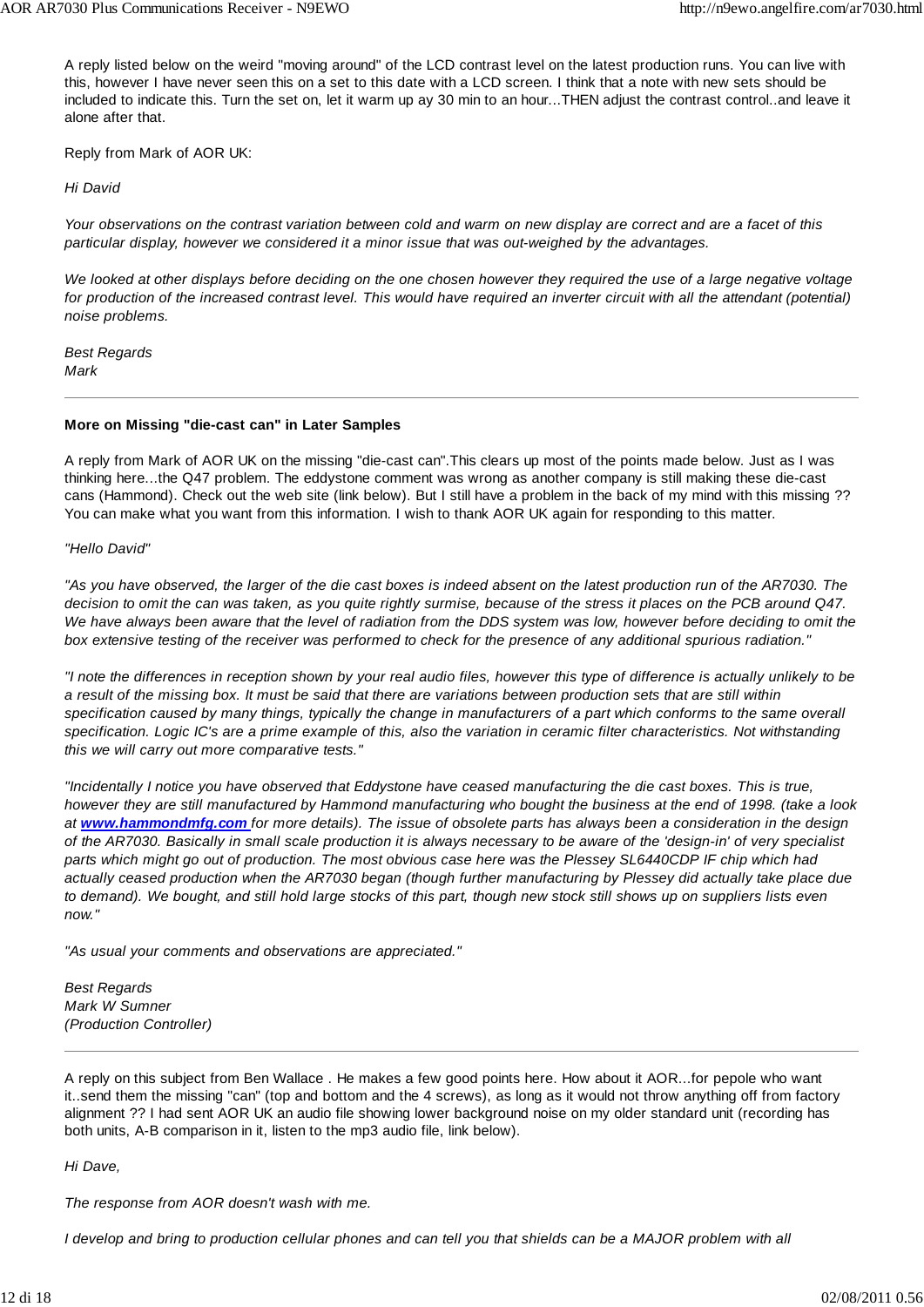A reply listed below on the weird "moving around" of the LCD contrast level on the latest production runs. You can live with this, however I have never seen this on a set to this date with a LCD screen. I think that a note with new sets should be included to indicate this. Turn the set on, let it warm up ay 30 min to an hour...THEN adjust the contrast control..and leave it alone after that.

Reply from Mark of AOR UK:

*Hi David*

*Your observations on the contrast variation between cold and warm on new display are correct and are a facet of this particular display, however we considered it a minor issue that was out-weighed by the advantages.*

*We looked at other displays before deciding on the one chosen however they required the use of a large negative voltage for production of the increased contrast level. This would have required an inverter circuit with all the attendant (potential) noise problems.*

*Best Regards Mark*

#### **More on Missing "die-cast can" in Later Samples**

A reply from Mark of AOR UK on the missing "die-cast can".This clears up most of the points made below. Just as I was thinking here...the Q47 problem. The eddystone comment was wrong as another company is still making these die-cast cans (Hammond). Check out the web site (link below). But I still have a problem in the back of my mind with this missing ?? You can make what you want from this information. I wish to thank AOR UK again for responding to this matter.

*"Hello David"*

*"As you have observed, the larger of the die cast boxes is indeed absent on the latest production run of the AR7030. The decision to omit the can was taken, as you quite rightly surmise, because of the stress it places on the PCB around Q47. We have always been aware that the level of radiation from the DDS system was low, however before deciding to omit the box extensive testing of the receiver was performed to check for the presence of any additional spurious radiation."*

*"I note the differences in reception shown by your real audio files, however this type of difference is actually unlikely to be a result of the missing box. It must be said that there are variations between production sets that are still within specification caused by many things, typically the change in manufacturers of a part which conforms to the same overall specification. Logic IC's are a prime example of this, also the variation in ceramic filter characteristics. Not withstanding this we will carry out more comparative tests."*

*"Incidentally I notice you have observed that Eddystone have ceased manufacturing the die cast boxes. This is true, however they are still manufactured by Hammond manufacturing who bought the business at the end of 1998. (take a look at www.hammondmfg.com for more details). The issue of obsolete parts has always been a consideration in the design of the AR7030. Basically in small scale production it is always necessary to be aware of the 'design-in' of very specialist parts which might go out of production. The most obvious case here was the Plessey SL6440CDP IF chip which had actually ceased production when the AR7030 began (though further manufacturing by Plessey did actually take place due to demand). We bought, and still hold large stocks of this part, though new stock still shows up on suppliers lists even now."*

*"As usual your comments and observations are appreciated."*

*Best Regards Mark W Sumner (Production Controller)*

A reply on this subject from Ben Wallace . He makes a few good points here. How about it AOR...for pepole who want it..send them the missing "can" (top and bottom and the 4 screws), as long as it would not throw anything off from factory alignment ?? I had sent AOR UK an audio file showing lower background noise on my older standard unit (recording has both units, A-B comparison in it, listen to the mp3 audio file, link below).

*Hi Dave,*

*The response from AOR doesn't wash with me.*

*I develop and bring to production cellular phones and can tell you that shields can be a MAJOR problem with all*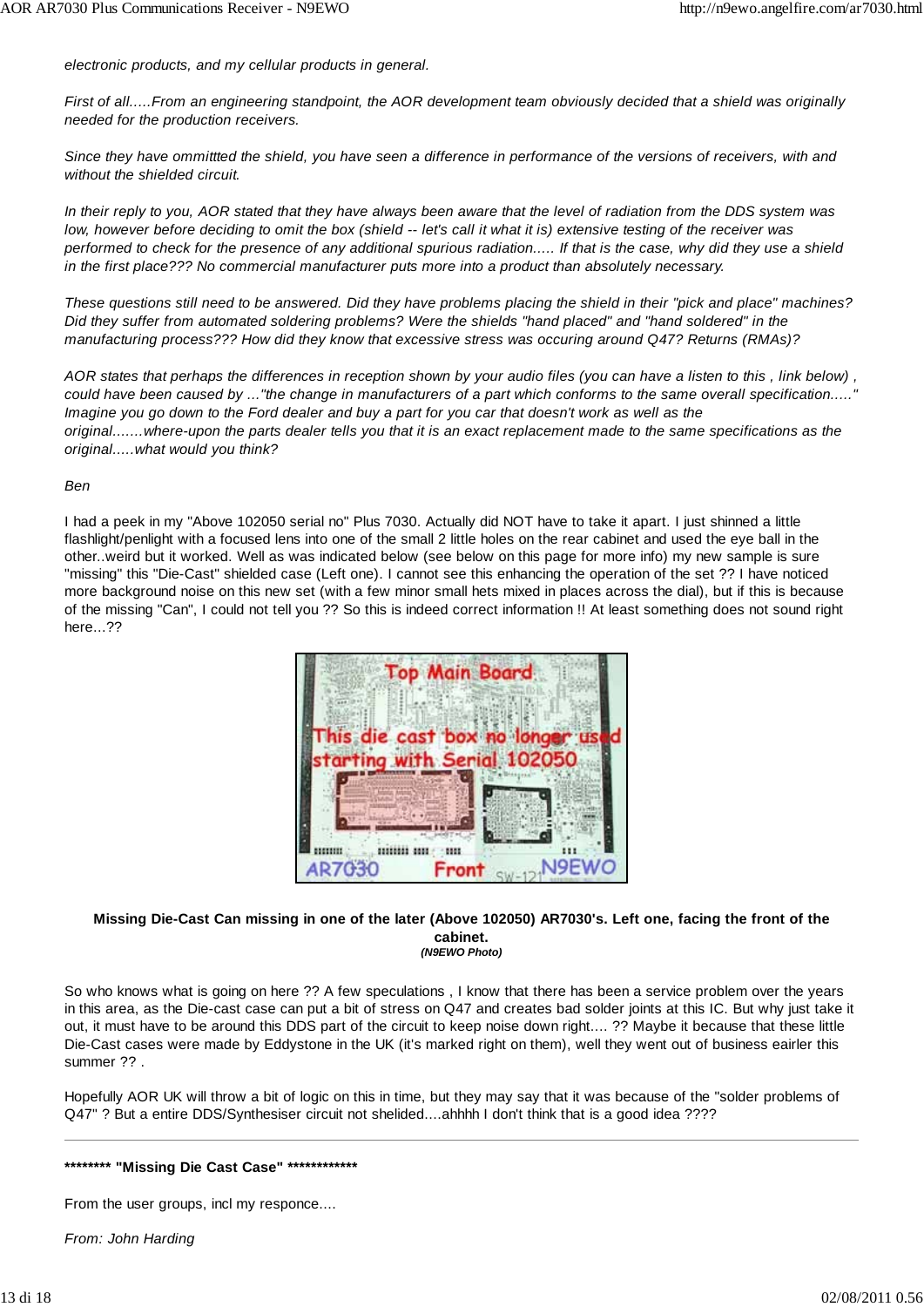*electronic products, and my cellular products in general.*

*First of all.....From an engineering standpoint, the AOR development team obviously decided that a shield was originally needed for the production receivers.*

*Since they have ommittted the shield, you have seen a difference in performance of the versions of receivers, with and without the shielded circuit.*

*In their reply to you, AOR stated that they have always been aware that the level of radiation from the DDS system was low, however before deciding to omit the box (shield -- let's call it what it is) extensive testing of the receiver was performed to check for the presence of any additional spurious radiation..... If that is the case, why did they use a shield in the first place??? No commercial manufacturer puts more into a product than absolutely necessary.*

*These questions still need to be answered. Did they have problems placing the shield in their "pick and place" machines? Did they suffer from automated soldering problems? Were the shields "hand placed" and "hand soldered" in the manufacturing process??? How did they know that excessive stress was occuring around Q47? Returns (RMAs)?*

*AOR states that perhaps the differences in reception shown by your audio files (you can have a listen to this , link below) , could have been caused by ..."the change in manufacturers of a part which conforms to the same overall specification....." Imagine you go down to the Ford dealer and buy a part for you car that doesn't work as well as the original.......where-upon the parts dealer tells you that it is an exact replacement made to the same specifications as the original.....what would you think?*

#### *Ben*

I had a peek in my "Above 102050 serial no" Plus 7030. Actually did NOT have to take it apart. I just shinned a little flashlight/penlight with a focused lens into one of the small 2 little holes on the rear cabinet and used the eye ball in the other..weird but it worked. Well as was indicated below (see below on this page for more info) my new sample is sure "missing" this "Die-Cast" shielded case (Left one). I cannot see this enhancing the operation of the set ?? I have noticed more background noise on this new set (with a few minor small hets mixed in places across the dial), but if this is because of the missing "Can", I could not tell you ?? So this is indeed correct information !! At least something does not sound right here...??



#### **Missing Die-Cast Can missing in one of the later (Above 102050) AR7030's. Left one, facing the front of the cabinet.** *(N9EWO Photo)*

So who knows what is going on here ?? A few speculations , I know that there has been a service problem over the years in this area, as the Die-cast case can put a bit of stress on Q47 and creates bad solder joints at this IC. But why just take it out, it must have to be around this DDS part of the circuit to keep noise down right.... ?? Maybe it because that these little Die-Cast cases were made by Eddystone in the UK (it's marked right on them), well they went out of business eairler this summer ?? .

Hopefully AOR UK will throw a bit of logic on this in time, but they may say that it was because of the "solder problems of Q47" ? But a entire DDS/Synthesiser circuit not shelided....ahhhh I don't think that is a good idea ????

#### **\*\*\*\*\*\*\*\* "Missing Die Cast Case" \*\*\*\*\*\*\*\*\*\*\*\***

From the user groups, incl my responce....

*From: John Harding*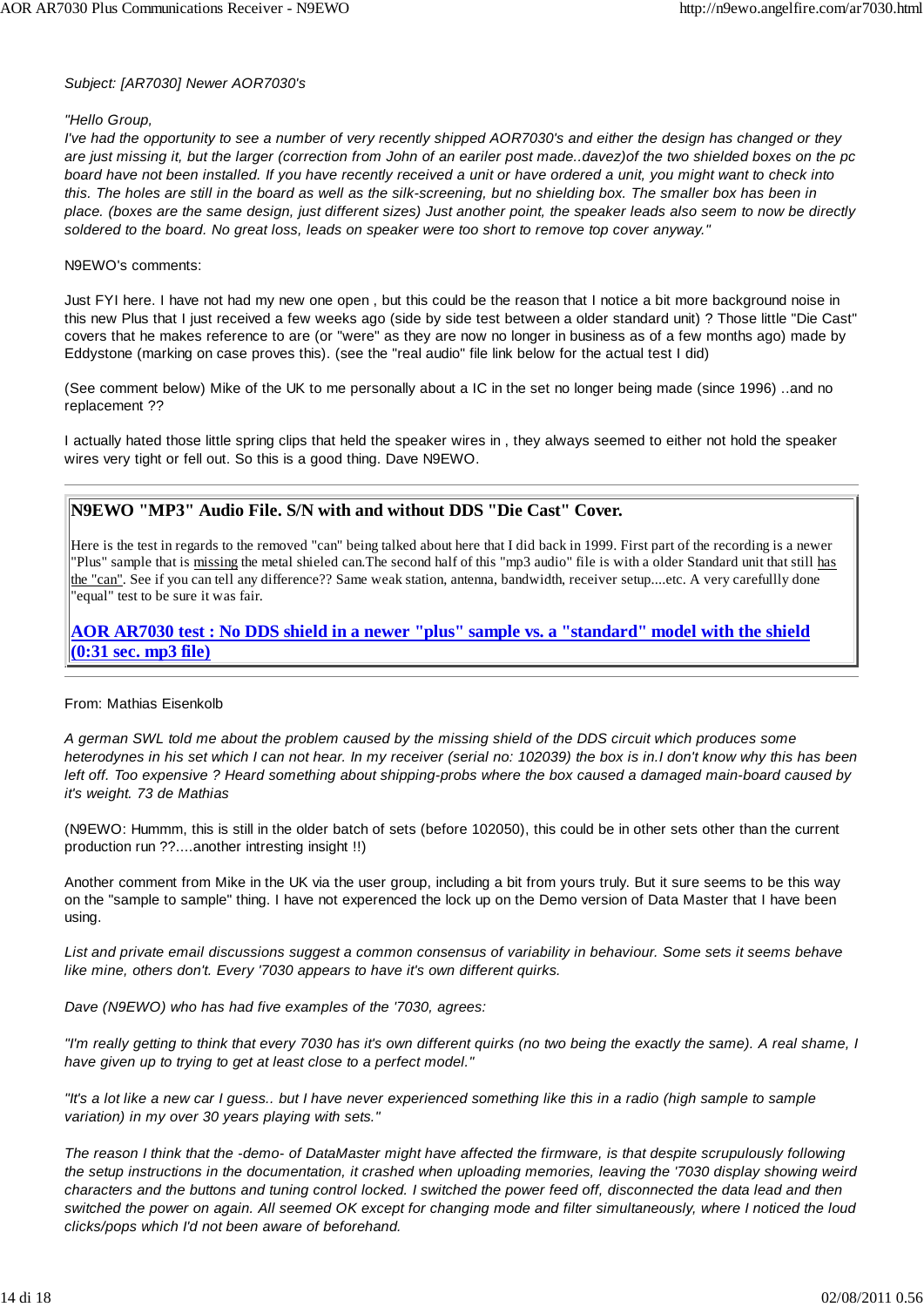### *Subject: [AR7030] Newer AOR7030's*

### *"Hello Group,*

*I've had the opportunity to see a number of very recently shipped AOR7030's and either the design has changed or they are just missing it, but the larger (correction from John of an eariler post made..davez)of the two shielded boxes on the pc board have not been installed. If you have recently received a unit or have ordered a unit, you might want to check into this. The holes are still in the board as well as the silk-screening, but no shielding box. The smaller box has been in place. (boxes are the same design, just different sizes) Just another point, the speaker leads also seem to now be directly soldered to the board. No great loss, leads on speaker were too short to remove top cover anyway."*

### N9EWO's comments:

Just FYI here. I have not had my new one open , but this could be the reason that I notice a bit more background noise in this new Plus that I just received a few weeks ago (side by side test between a older standard unit) ? Those little "Die Cast" covers that he makes reference to are (or "were" as they are now no longer in business as of a few months ago) made by Eddystone (marking on case proves this). (see the "real audio" file link below for the actual test I did)

(See comment below) Mike of the UK to me personally about a IC in the set no longer being made (since 1996) ..and no replacement ??

I actually hated those little spring clips that held the speaker wires in , they always seemed to either not hold the speaker wires very tight or fell out. So this is a good thing. Dave N9EWO.

### **N9EWO "MP3" Audio File. S/N with and without DDS "Die Cast" Cover.**

Here is the test in regards to the removed "can" being talked about here that I did back in 1999. First part of the recording is a newer "Plus" sample that is missing the metal shieled can.The second half of this "mp3 audio" file is with a older Standard unit that still has the "can". See if you can tell any difference?? Same weak station, antenna, bandwidth, receiver setup....etc. A very carefullly done "equal" test to be sure it was fair.

**AOR AR7030 test : No DDS shield in a newer "plus" sample vs. a "standard" model with the shield (0:31 sec. mp3 file)**

### From: Mathias Eisenkolb

*A german SWL told me about the problem caused by the missing shield of the DDS circuit which produces some heterodynes in his set which I can not hear. In my receiver (serial no: 102039) the box is in.I don't know why this has been left off. Too expensive ? Heard something about shipping-probs where the box caused a damaged main-board caused by it's weight. 73 de Mathias*

(N9EWO: Hummm, this is still in the older batch of sets (before 102050), this could be in other sets other than the current production run ??....another intresting insight !!)

Another comment from Mike in the UK via the user group, including a bit from yours truly. But it sure seems to be this way on the "sample to sample" thing. I have not experenced the lock up on the Demo version of Data Master that I have been using.

*List and private email discussions suggest a common consensus of variability in behaviour. Some sets it seems behave like mine, others don't. Every '7030 appears to have it's own different quirks.*

*Dave (N9EWO) who has had five examples of the '7030, agrees:*

*"I'm really getting to think that every 7030 has it's own different quirks (no two being the exactly the same). A real shame, I have given up to trying to get at least close to a perfect model."*

*"It's a lot like a new car I guess.. but I have never experienced something like this in a radio (high sample to sample variation) in my over 30 years playing with sets."*

*The reason I think that the -demo- of DataMaster might have affected the firmware, is that despite scrupulously following the setup instructions in the documentation, it crashed when uploading memories, leaving the '7030 display showing weird characters and the buttons and tuning control locked. I switched the power feed off, disconnected the data lead and then switched the power on again. All seemed OK except for changing mode and filter simultaneously, where I noticed the loud clicks/pops which I'd not been aware of beforehand.*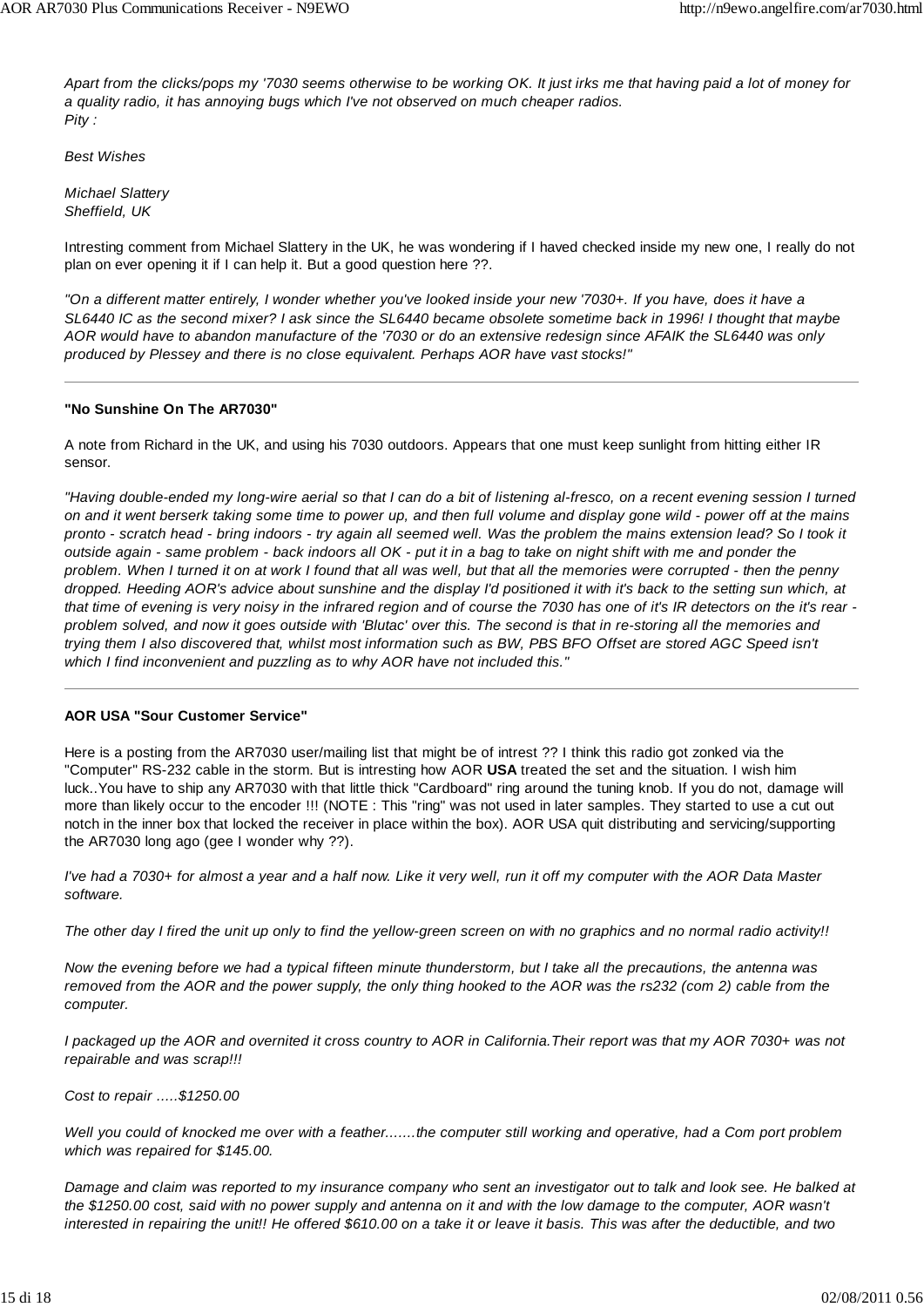*Apart from the clicks/pops my '7030 seems otherwise to be working OK. It just irks me that having paid a lot of money for a quality radio, it has annoying bugs which I've not observed on much cheaper radios. Pity :*

*Best Wishes*

*Michael Slattery Sheffield, UK*

Intresting comment from Michael Slattery in the UK, he was wondering if I haved checked inside my new one, I really do not plan on ever opening it if I can help it. But a good question here ??.

*"On a different matter entirely, I wonder whether you've looked inside your new '7030+. If you have, does it have a SL6440 IC as the second mixer? I ask since the SL6440 became obsolete sometime back in 1996! I thought that maybe AOR would have to abandon manufacture of the '7030 or do an extensive redesign since AFAIK the SL6440 was only produced by Plessey and there is no close equivalent. Perhaps AOR have vast stocks!"*

### **"No Sunshine On The AR7030"**

A note from Richard in the UK, and using his 7030 outdoors. Appears that one must keep sunlight from hitting either IR sensor.

*"Having double-ended my long-wire aerial so that I can do a bit of listening al-fresco, on a recent evening session I turned on and it went berserk taking some time to power up, and then full volume and display gone wild - power off at the mains pronto - scratch head - bring indoors - try again all seemed well. Was the problem the mains extension lead? So I took it outside again - same problem - back indoors all OK - put it in a bag to take on night shift with me and ponder the problem. When I turned it on at work I found that all was well, but that all the memories were corrupted - then the penny dropped. Heeding AOR's advice about sunshine and the display I'd positioned it with it's back to the setting sun which, at that time of evening is very noisy in the infrared region and of course the 7030 has one of it's IR detectors on the it's rear problem solved, and now it goes outside with 'Blutac' over this. The second is that in re-storing all the memories and trying them I also discovered that, whilst most information such as BW, PBS BFO Offset are stored AGC Speed isn't which I find inconvenient and puzzling as to why AOR have not included this."*

#### **AOR USA "Sour Customer Service"**

Here is a posting from the AR7030 user/mailing list that might be of intrest ?? I think this radio got zonked via the "Computer" RS-232 cable in the storm. But is intresting how AOR **USA** treated the set and the situation. I wish him luck..You have to ship any AR7030 with that little thick "Cardboard" ring around the tuning knob. If you do not, damage will more than likely occur to the encoder !!! (NOTE : This "ring" was not used in later samples. They started to use a cut out notch in the inner box that locked the receiver in place within the box). AOR USA quit distributing and servicing/supporting the AR7030 long ago (gee I wonder why ??).

*I've had a 7030+ for almost a year and a half now. Like it very well, run it off my computer with the AOR Data Master software.*

*The other day I fired the unit up only to find the yellow-green screen on with no graphics and no normal radio activity!!*

*Now the evening before we had a typical fifteen minute thunderstorm, but I take all the precautions, the antenna was removed from the AOR and the power supply, the only thing hooked to the AOR was the rs232 (com 2) cable from the computer.*

*I packaged up the AOR and overnited it cross country to AOR in California.Their report was that my AOR 7030+ was not repairable and was scrap!!!*

*Cost to repair .....\$1250.00*

*Well you could of knocked me over with a feather.......the computer still working and operative, had a Com port problem which was repaired for \$145.00.*

*Damage and claim was reported to my insurance company who sent an investigator out to talk and look see. He balked at the \$1250.00 cost, said with no power supply and antenna on it and with the low damage to the computer, AOR wasn't interested in repairing the unit!! He offered \$610.00 on a take it or leave it basis. This was after the deductible, and two*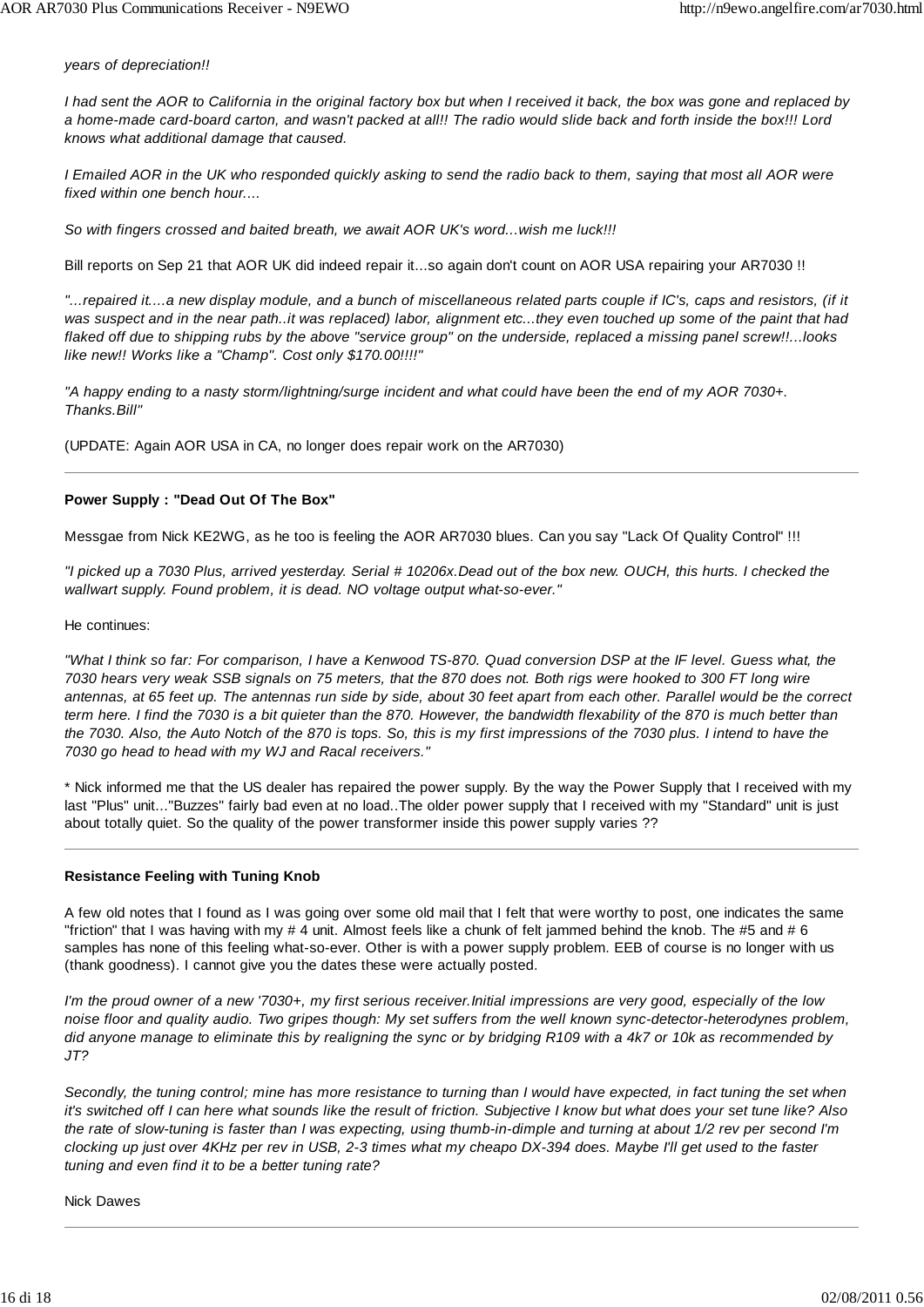### *years of depreciation!!*

*I had sent the AOR to California in the original factory box but when I received it back, the box was gone and replaced by a home-made card-board carton, and wasn't packed at all!! The radio would slide back and forth inside the box!!! Lord knows what additional damage that caused.*

*I Emailed AOR in the UK who responded quickly asking to send the radio back to them, saying that most all AOR were fixed within one bench hour....*

*So with fingers crossed and baited breath, we await AOR UK's word...wish me luck!!!*

Bill reports on Sep 21 that AOR UK did indeed repair it...so again don't count on AOR USA repairing your AR7030 !!

*"...repaired it....a new display module, and a bunch of miscellaneous related parts couple if IC's, caps and resistors, (if it was suspect and in the near path..it was replaced) labor, alignment etc...they even touched up some of the paint that had flaked off due to shipping rubs by the above "service group" on the underside, replaced a missing panel screw!!...looks like new!! Works like a "Champ". Cost only \$170.00!!!!"*

*"A happy ending to a nasty storm/lightning/surge incident and what could have been the end of my AOR 7030+. Thanks.Bill"*

(UPDATE: Again AOR USA in CA, no longer does repair work on the AR7030)

### **Power Supply : "Dead Out Of The Box"**

Messgae from Nick KE2WG, as he too is feeling the AOR AR7030 blues. Can you say "Lack Of Quality Control" !!!

*"I picked up a 7030 Plus, arrived yesterday. Serial # 10206x.Dead out of the box new. OUCH, this hurts. I checked the wallwart supply. Found problem, it is dead. NO voltage output what-so-ever."*

He continues:

*"What I think so far: For comparison, I have a Kenwood TS-870. Quad conversion DSP at the IF level. Guess what, the 7030 hears very weak SSB signals on 75 meters, that the 870 does not. Both rigs were hooked to 300 FT long wire antennas, at 65 feet up. The antennas run side by side, about 30 feet apart from each other. Parallel would be the correct term here. I find the 7030 is a bit quieter than the 870. However, the bandwidth flexability of the 870 is much better than the 7030. Also, the Auto Notch of the 870 is tops. So, this is my first impressions of the 7030 plus. I intend to have the 7030 go head to head with my WJ and Racal receivers."*

\* Nick informed me that the US dealer has repaired the power supply. By the way the Power Supply that I received with my last "Plus" unit..."Buzzes" fairly bad even at no load..The older power supply that I received with my "Standard" unit is just about totally quiet. So the quality of the power transformer inside this power supply varies ??

### **Resistance Feeling with Tuning Knob**

A few old notes that I found as I was going over some old mail that I felt that were worthy to post, one indicates the same "friction" that I was having with my # 4 unit. Almost feels like a chunk of felt jammed behind the knob. The #5 and # 6 samples has none of this feeling what-so-ever. Other is with a power supply problem. EEB of course is no longer with us (thank goodness). I cannot give you the dates these were actually posted.

*I'm the proud owner of a new '7030+, my first serious receiver.Initial impressions are very good, especially of the low noise floor and quality audio. Two gripes though: My set suffers from the well known sync-detector-heterodynes problem, did anyone manage to eliminate this by realigning the sync or by bridging R109 with a 4k7 or 10k as recommended by JT?*

*Secondly, the tuning control; mine has more resistance to turning than I would have expected, in fact tuning the set when it's switched off I can here what sounds like the result of friction. Subjective I know but what does your set tune like? Also the rate of slow-tuning is faster than I was expecting, using thumb-in-dimple and turning at about 1/2 rev per second I'm clocking up just over 4KHz per rev in USB, 2-3 times what my cheapo DX-394 does. Maybe I'll get used to the faster tuning and even find it to be a better tuning rate?*

Nick Dawes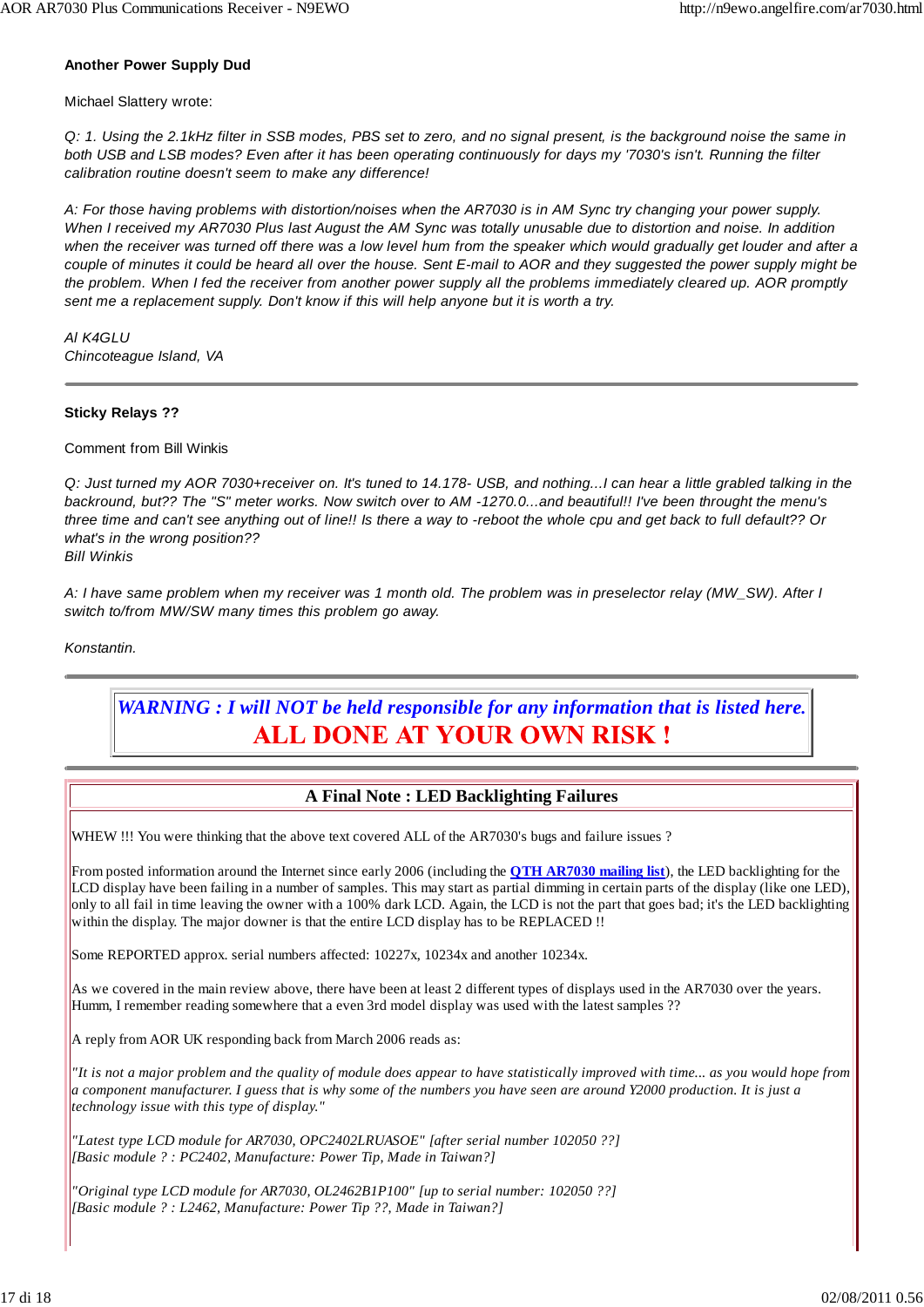### **Another Power Supply Dud**

Michael Slattery wrote:

*Q: 1. Using the 2.1kHz filter in SSB modes, PBS set to zero, and no signal present, is the background noise the same in both USB and LSB modes? Even after it has been operating continuously for days my '7030's isn't. Running the filter calibration routine doesn't seem to make any difference!*

*A: For those having problems with distortion/noises when the AR7030 is in AM Sync try changing your power supply. When I received my AR7030 Plus last August the AM Sync was totally unusable due to distortion and noise. In addition when the receiver was turned off there was a low level hum from the speaker which would gradually get louder and after a couple of minutes it could be heard all over the house. Sent E-mail to AOR and they suggested the power supply might be the problem. When I fed the receiver from another power supply all the problems immediately cleared up. AOR promptly sent me a replacement supply. Don't know if this will help anyone but it is worth a try.*

*Al K4GLU Chincoteague Island, VA*

### **Sticky Relays ??**

Comment from Bill Winkis

*Q: Just turned my AOR 7030+receiver on. It's tuned to 14.178- USB, and nothing...I can hear a little grabled talking in the backround, but?? The "S" meter works. Now switch over to AM -1270.0...and beautiful!! I've been throught the menu's three time and can't see anything out of line!! Is there a way to -reboot the whole cpu and get back to full default?? Or what's in the wrong position??*

*Bill Winkis*

*A: I have same problem when my receiver was 1 month old. The problem was in preselector relay (MW\_SW). After I switch to/from MW/SW many times this problem go away.*

*Konstantin.*

### *WARNING : I will NOT be held responsible for any information that is listed here.* ALL DONE AT YOUR OWN RISK !

### **A Final Note : LED Backlighting Failures**

WHEW !!! You were thinking that the above text covered ALL of the AR7030's bugs and failure issues ?

From posted information around the Internet since early 2006 (including the **QTH AR7030 mailing list**), the LED backlighting for the LCD display have been failing in a number of samples. This may start as partial dimming in certain parts of the display (like one LED), only to all fail in time leaving the owner with a 100% dark LCD. Again, the LCD is not the part that goes bad; it's the LED backlighting within the display. The major downer is that the entire LCD display has to be REPLACED !!

Some REPORTED approx. serial numbers affected: 10227x, 10234x and another 10234x.

As we covered in the main review above, there have been at least 2 different types of displays used in the AR7030 over the years. Humm, I remember reading somewhere that a even 3rd model display was used with the latest samples ??

A reply from AOR UK responding back from March 2006 reads as:

*"It is not a major problem and the quality of module does appear to have statistically improved with time... as you would hope from a component manufacturer. I guess that is why some of the numbers you have seen are around Y2000 production. It is just a technology issue with this type of display."*

*"Latest type LCD module for AR7030, OPC2402LRUASOE" [after serial number 102050 ??] [Basic module ? : PC2402, Manufacture: Power Tip, Made in Taiwan?]*

*"Original type LCD module for AR7030, OL2462B1P100" [up to serial number: 102050 ??] [Basic module ? : L2462, Manufacture: Power Tip ??, Made in Taiwan?]*